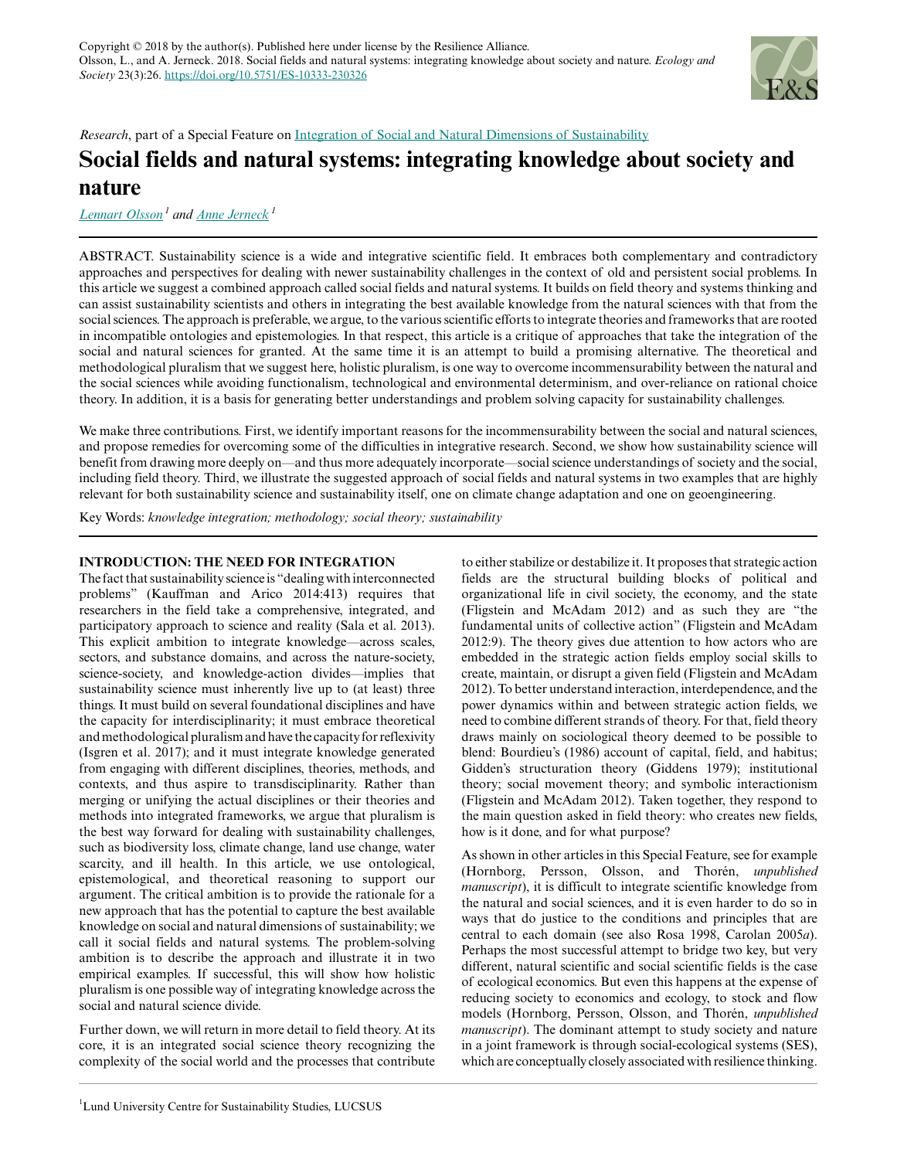

*Research*, part of a Special Feature on [Integration of Social and Natural Dimensions of Sustainability](https://www.ecologyandsociety.org/viewissue.php?sf=135)

# **Social fields and natural systems: integrating knowledge about society and nature**

*[Lennart Olsson](mailto:lennart.olsson@lucsus.lu.se)<sup>1</sup> and [Anne Jerneck](mailto:anne.jerneck@lucsus.lu.se)<sup>1</sup>*

ABSTRACT. Sustainability science is a wide and integrative scientific field. It embraces both complementary and contradictory approaches and perspectives for dealing with newer sustainability challenges in the context of old and persistent social problems. In this article we suggest a combined approach called social fields and natural systems. It builds on field theory and systems thinking and can assist sustainability scientists and others in integrating the best available knowledge from the natural sciences with that from the social sciences. The approach is preferable, we argue, to the various scientific efforts to integrate theories and frameworks that are rooted in incompatible ontologies and epistemologies. In that respect, this article is a critique of approaches that take the integration of the social and natural sciences for granted. At the same time it is an attempt to build a promising alternative. The theoretical and methodological pluralism that we suggest here, holistic pluralism, is one way to overcome incommensurability between the natural and the social sciences while avoiding functionalism, technological and environmental determinism, and over-reliance on rational choice theory. In addition, it is a basis for generating better understandings and problem solving capacity for sustainability challenges.

We make three contributions. First, we identify important reasons for the incommensurability between the social and natural sciences, and propose remedies for overcoming some of the difficulties in integrative research. Second, we show how sustainability science will benefit from drawing more deeply on—and thus more adequately incorporate—social science understandings of society and the social, including field theory. Third, we illustrate the suggested approach of social fields and natural systems in two examples that are highly relevant for both sustainability science and sustainability itself, one on climate change adaptation and one on geoengineering.

Key Words: *knowledge integration; methodology; social theory; sustainability*

# **INTRODUCTION: THE NEED FOR INTEGRATION**

The fact that sustainability science is "dealing with interconnected problems" (Kauffman and Arico 2014:413) requires that researchers in the field take a comprehensive, integrated, and participatory approach to science and reality (Sala et al. 2013). This explicit ambition to integrate knowledge—across scales, sectors, and substance domains, and across the nature-society, science-society, and knowledge-action divides—implies that sustainability science must inherently live up to (at least) three things. It must build on several foundational disciplines and have the capacity for interdisciplinarity; it must embrace theoretical and methodological pluralism and have the capacity for reflexivity (Isgren et al. 2017); and it must integrate knowledge generated from engaging with different disciplines, theories, methods, and contexts, and thus aspire to transdisciplinarity. Rather than merging or unifying the actual disciplines or their theories and methods into integrated frameworks, we argue that pluralism is the best way forward for dealing with sustainability challenges, such as biodiversity loss, climate change, land use change, water scarcity, and ill health. In this article, we use ontological, epistemological, and theoretical reasoning to support our argument. The critical ambition is to provide the rationale for a new approach that has the potential to capture the best available knowledge on social and natural dimensions of sustainability; we call it social fields and natural systems. The problem-solving ambition is to describe the approach and illustrate it in two empirical examples. If successful, this will show how holistic pluralism is one possible way of integrating knowledge across the social and natural science divide.

Further down, we will return in more detail to field theory. At its core, it is an integrated social science theory recognizing the complexity of the social world and the processes that contribute to either stabilize or destabilize it. It proposes that strategic action fields are the structural building blocks of political and organizational life in civil society, the economy, and the state (Fligstein and McAdam 2012) and as such they are "the fundamental units of collective action" (Fligstein and McAdam 2012:9). The theory gives due attention to how actors who are embedded in the strategic action fields employ social skills to create, maintain, or disrupt a given field (Fligstein and McAdam 2012). To better understand interaction, interdependence, and the power dynamics within and between strategic action fields, we need to combine different strands of theory. For that, field theory draws mainly on sociological theory deemed to be possible to blend: Bourdieu's (1986) account of capital, field, and habitus; Gidden's structuration theory (Giddens 1979); institutional theory; social movement theory; and symbolic interactionism (Fligstein and McAdam 2012). Taken together, they respond to the main question asked in field theory: who creates new fields, how is it done, and for what purpose?

As shown in other articles in this Special Feature, see for example (Hornborg, Persson, Olsson, and Thorén, *unpublished manuscript*), it is difficult to integrate scientific knowledge from the natural and social sciences, and it is even harder to do so in ways that do justice to the conditions and principles that are central to each domain (see also Rosa 1998, Carolan 2005*a*). Perhaps the most successful attempt to bridge two key, but very different, natural scientific and social scientific fields is the case of ecological economics. But even this happens at the expense of reducing society to economics and ecology, to stock and flow models (Hornborg, Persson, Olsson, and Thorén, *unpublished manuscript*). The dominant attempt to study society and nature in a joint framework is through social-ecological systems (SES), which are conceptually closely associated with resilience thinking.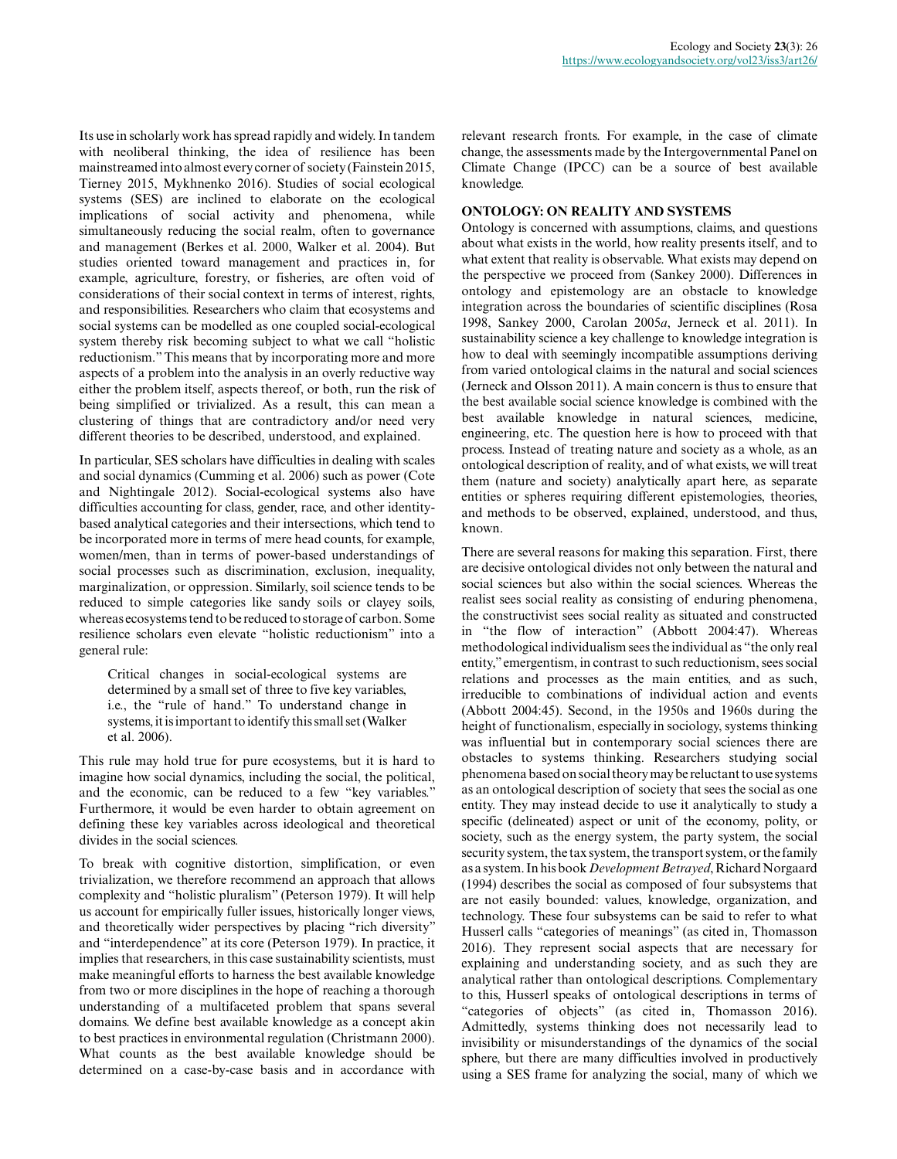Its use in scholarly work has spread rapidly and widely. In tandem with neoliberal thinking, the idea of resilience has been mainstreamed into almost every corner of society (Fainstein 2015, Tierney 2015, Mykhnenko 2016). Studies of social ecological systems (SES) are inclined to elaborate on the ecological implications of social activity and phenomena, while simultaneously reducing the social realm, often to governance and management (Berkes et al. 2000, Walker et al. 2004). But studies oriented toward management and practices in, for example, agriculture, forestry, or fisheries, are often void of considerations of their social context in terms of interest, rights, and responsibilities. Researchers who claim that ecosystems and social systems can be modelled as one coupled social-ecological system thereby risk becoming subject to what we call "holistic reductionism." This means that by incorporating more and more aspects of a problem into the analysis in an overly reductive way either the problem itself, aspects thereof, or both, run the risk of being simplified or trivialized. As a result, this can mean a clustering of things that are contradictory and/or need very different theories to be described, understood, and explained.

In particular, SES scholars have difficulties in dealing with scales and social dynamics (Cumming et al. 2006) such as power (Cote and Nightingale 2012). Social-ecological systems also have difficulties accounting for class, gender, race, and other identitybased analytical categories and their intersections, which tend to be incorporated more in terms of mere head counts, for example, women/men, than in terms of power-based understandings of social processes such as discrimination, exclusion, inequality, marginalization, or oppression. Similarly, soil science tends to be reduced to simple categories like sandy soils or clayey soils, whereas ecosystems tend to be reduced to storage of carbon. Some resilience scholars even elevate "holistic reductionism" into a general rule:

Critical changes in social-ecological systems are determined by a small set of three to five key variables, i.e., the "rule of hand." To understand change in systems, it is important to identify this small set (Walker et al. 2006).

This rule may hold true for pure ecosystems, but it is hard to imagine how social dynamics, including the social, the political, and the economic, can be reduced to a few "key variables." Furthermore, it would be even harder to obtain agreement on defining these key variables across ideological and theoretical divides in the social sciences.

To break with cognitive distortion, simplification, or even trivialization, we therefore recommend an approach that allows complexity and "holistic pluralism" (Peterson 1979). It will help us account for empirically fuller issues, historically longer views, and theoretically wider perspectives by placing "rich diversity" and "interdependence" at its core (Peterson 1979). In practice, it implies that researchers, in this case sustainability scientists, must make meaningful efforts to harness the best available knowledge from two or more disciplines in the hope of reaching a thorough understanding of a multifaceted problem that spans several domains. We define best available knowledge as a concept akin to best practices in environmental regulation (Christmann 2000). What counts as the best available knowledge should be determined on a case-by-case basis and in accordance with

relevant research fronts. For example, in the case of climate change, the assessments made by the Intergovernmental Panel on Climate Change (IPCC) can be a source of best available knowledge.

## **ONTOLOGY: ON REALITY AND SYSTEMS**

Ontology is concerned with assumptions, claims, and questions about what exists in the world, how reality presents itself, and to what extent that reality is observable. What exists may depend on the perspective we proceed from (Sankey 2000). Differences in ontology and epistemology are an obstacle to knowledge integration across the boundaries of scientific disciplines (Rosa 1998, Sankey 2000, Carolan 2005*a*, Jerneck et al. 2011). In sustainability science a key challenge to knowledge integration is how to deal with seemingly incompatible assumptions deriving from varied ontological claims in the natural and social sciences (Jerneck and Olsson 2011). A main concern is thus to ensure that the best available social science knowledge is combined with the best available knowledge in natural sciences, medicine, engineering, etc. The question here is how to proceed with that process. Instead of treating nature and society as a whole, as an ontological description of reality, and of what exists, we will treat them (nature and society) analytically apart here, as separate entities or spheres requiring different epistemologies, theories, and methods to be observed, explained, understood, and thus, known.

There are several reasons for making this separation. First, there are decisive ontological divides not only between the natural and social sciences but also within the social sciences. Whereas the realist sees social reality as consisting of enduring phenomena, the constructivist sees social reality as situated and constructed in "the flow of interaction" (Abbott 2004:47). Whereas methodological individualism sees the individual as "the only real entity," emergentism, in contrast to such reductionism, sees social relations and processes as the main entities, and as such, irreducible to combinations of individual action and events (Abbott 2004:45). Second, in the 1950s and 1960s during the height of functionalism, especially in sociology, systems thinking was influential but in contemporary social sciences there are obstacles to systems thinking. Researchers studying social phenomena based on social theory may be reluctant to use systems as an ontological description of society that sees the social as one entity. They may instead decide to use it analytically to study a specific (delineated) aspect or unit of the economy, polity, or society, such as the energy system, the party system, the social security system, the tax system, the transport system, or the family as a system. In his book *Development Betrayed*, Richard Norgaard (1994) describes the social as composed of four subsystems that are not easily bounded: values, knowledge, organization, and technology. These four subsystems can be said to refer to what Husserl calls "categories of meanings" (as cited in, Thomasson 2016). They represent social aspects that are necessary for explaining and understanding society, and as such they are analytical rather than ontological descriptions. Complementary to this, Husserl speaks of ontological descriptions in terms of "categories of objects" (as cited in, Thomasson 2016). Admittedly, systems thinking does not necessarily lead to invisibility or misunderstandings of the dynamics of the social sphere, but there are many difficulties involved in productively using a SES frame for analyzing the social, many of which we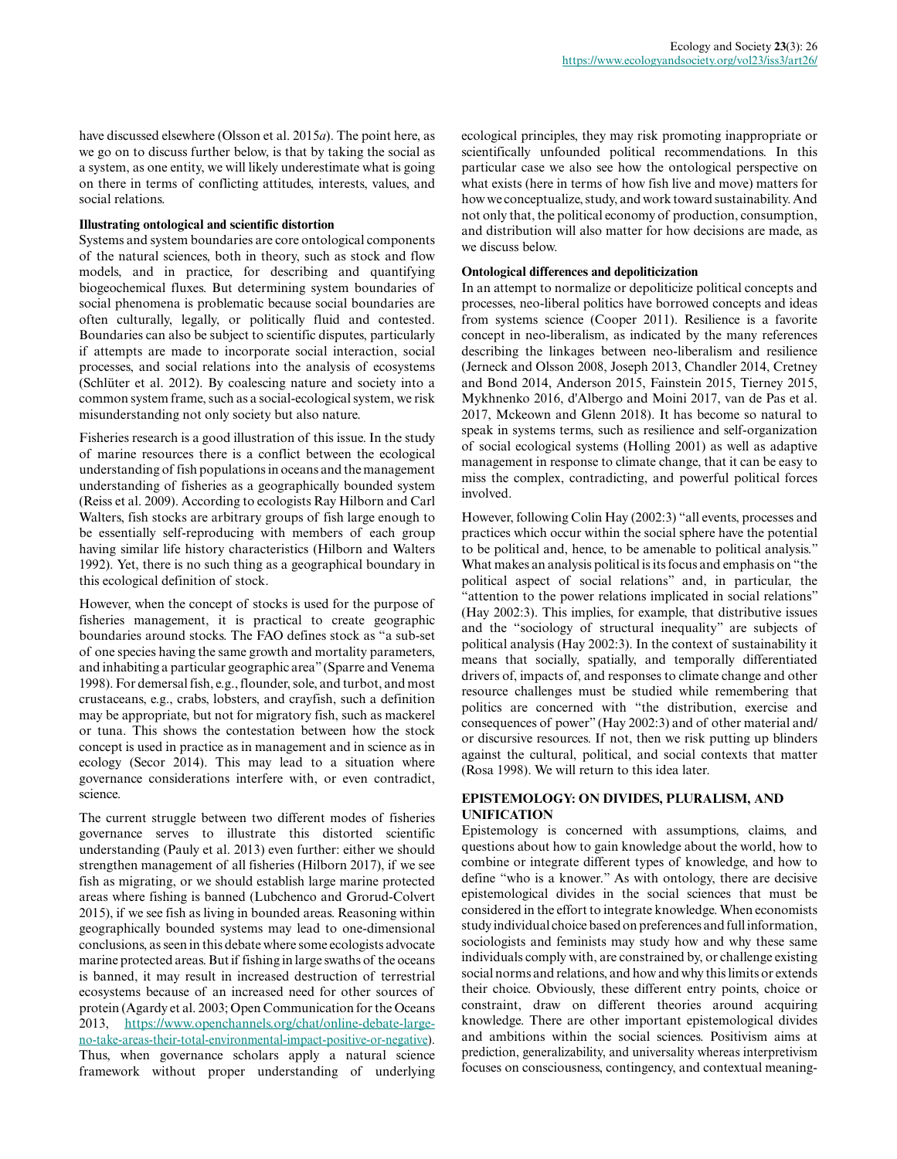have discussed elsewhere (Olsson et al. 2015*a*). The point here, as we go on to discuss further below, is that by taking the social as a system, as one entity, we will likely underestimate what is going on there in terms of conflicting attitudes, interests, values, and social relations.

## **Illustrating ontological and scientific distortion**

Systems and system boundaries are core ontological components of the natural sciences, both in theory, such as stock and flow models, and in practice, for describing and quantifying biogeochemical fluxes. But determining system boundaries of social phenomena is problematic because social boundaries are often culturally, legally, or politically fluid and contested. Boundaries can also be subject to scientific disputes, particularly if attempts are made to incorporate social interaction, social processes, and social relations into the analysis of ecosystems (Schlüter et al. 2012). By coalescing nature and society into a common system frame, such as a social-ecological system, we risk misunderstanding not only society but also nature.

Fisheries research is a good illustration of this issue. In the study of marine resources there is a conflict between the ecological understanding of fish populations in oceans and the management understanding of fisheries as a geographically bounded system (Reiss et al. 2009). According to ecologists Ray Hilborn and Carl Walters, fish stocks are arbitrary groups of fish large enough to be essentially self-reproducing with members of each group having similar life history characteristics (Hilborn and Walters 1992). Yet, there is no such thing as a geographical boundary in this ecological definition of stock.

However, when the concept of stocks is used for the purpose of fisheries management, it is practical to create geographic boundaries around stocks. The FAO defines stock as "a sub-set of one species having the same growth and mortality parameters, and inhabiting a particular geographic area" (Sparre and Venema 1998). For demersal fish, e.g., flounder, sole, and turbot, and most crustaceans, e.g., crabs, lobsters, and crayfish, such a definition may be appropriate, but not for migratory fish, such as mackerel or tuna. This shows the contestation between how the stock concept is used in practice as in management and in science as in ecology (Secor 2014). This may lead to a situation where governance considerations interfere with, or even contradict, science.

The current struggle between two different modes of fisheries governance serves to illustrate this distorted scientific understanding (Pauly et al. 2013) even further: either we should strengthen management of all fisheries (Hilborn 2017), if we see fish as migrating, or we should establish large marine protected areas where fishing is banned (Lubchenco and Grorud-Colvert 2015), if we see fish as living in bounded areas. Reasoning within geographically bounded systems may lead to one-dimensional conclusions, as seen in this debate where some ecologists advocate marine protected areas. But if fishing in large swaths of the oceans is banned, it may result in increased destruction of terrestrial ecosystems because of an increased need for other sources of protein (Agardy et al. 2003; Open Communication for the Oceans 2013, [https://www.openchannels.org/chat/online-debate-large](https://www.openchannels.org/chat/online-debate-large-no-take-areas-their-total-environmental-impact-positive-or-negative)[no-take-areas-their-total-environmental-impact-positive-or-negative\)](https://www.openchannels.org/chat/online-debate-large-no-take-areas-their-total-environmental-impact-positive-or-negative). Thus, when governance scholars apply a natural science framework without proper understanding of underlying ecological principles, they may risk promoting inappropriate or scientifically unfounded political recommendations. In this particular case we also see how the ontological perspective on what exists (here in terms of how fish live and move) matters for how we conceptualize, study, and work toward sustainability. And not only that, the political economy of production, consumption, and distribution will also matter for how decisions are made, as we discuss below.

#### **Ontological differences and depoliticization**

In an attempt to normalize or depoliticize political concepts and processes, neo-liberal politics have borrowed concepts and ideas from systems science (Cooper 2011). Resilience is a favorite concept in neo-liberalism, as indicated by the many references describing the linkages between neo-liberalism and resilience (Jerneck and Olsson 2008, Joseph 2013, Chandler 2014, Cretney and Bond 2014, Anderson 2015, Fainstein 2015, Tierney 2015, Mykhnenko 2016, d'Albergo and Moini 2017, van de Pas et al. 2017, Mckeown and Glenn 2018). It has become so natural to speak in systems terms, such as resilience and self-organization of social ecological systems (Holling 2001) as well as adaptive management in response to climate change, that it can be easy to miss the complex, contradicting, and powerful political forces involved.

However, following Colin Hay (2002:3) "all events, processes and practices which occur within the social sphere have the potential to be political and, hence, to be amenable to political analysis." What makes an analysis political is its focus and emphasis on "the political aspect of social relations" and, in particular, the "attention to the power relations implicated in social relations" (Hay 2002:3). This implies, for example, that distributive issues and the "sociology of structural inequality" are subjects of political analysis (Hay 2002:3). In the context of sustainability it means that socially, spatially, and temporally differentiated drivers of, impacts of, and responses to climate change and other resource challenges must be studied while remembering that politics are concerned with "the distribution, exercise and consequences of power" (Hay 2002:3) and of other material and/ or discursive resources. If not, then we risk putting up blinders against the cultural, political, and social contexts that matter (Rosa 1998). We will return to this idea later.

## **EPISTEMOLOGY: ON DIVIDES, PLURALISM, AND UNIFICATION**

Epistemology is concerned with assumptions, claims, and questions about how to gain knowledge about the world, how to combine or integrate different types of knowledge, and how to define "who is a knower." As with ontology, there are decisive epistemological divides in the social sciences that must be considered in the effort to integrate knowledge. When economists study individual choice based on preferences and full information, sociologists and feminists may study how and why these same individuals comply with, are constrained by, or challenge existing social norms and relations, and how and why this limits or extends their choice. Obviously, these different entry points, choice or constraint, draw on different theories around acquiring knowledge. There are other important epistemological divides and ambitions within the social sciences. Positivism aims at prediction, generalizability, and universality whereas interpretivism focuses on consciousness, contingency, and contextual meaning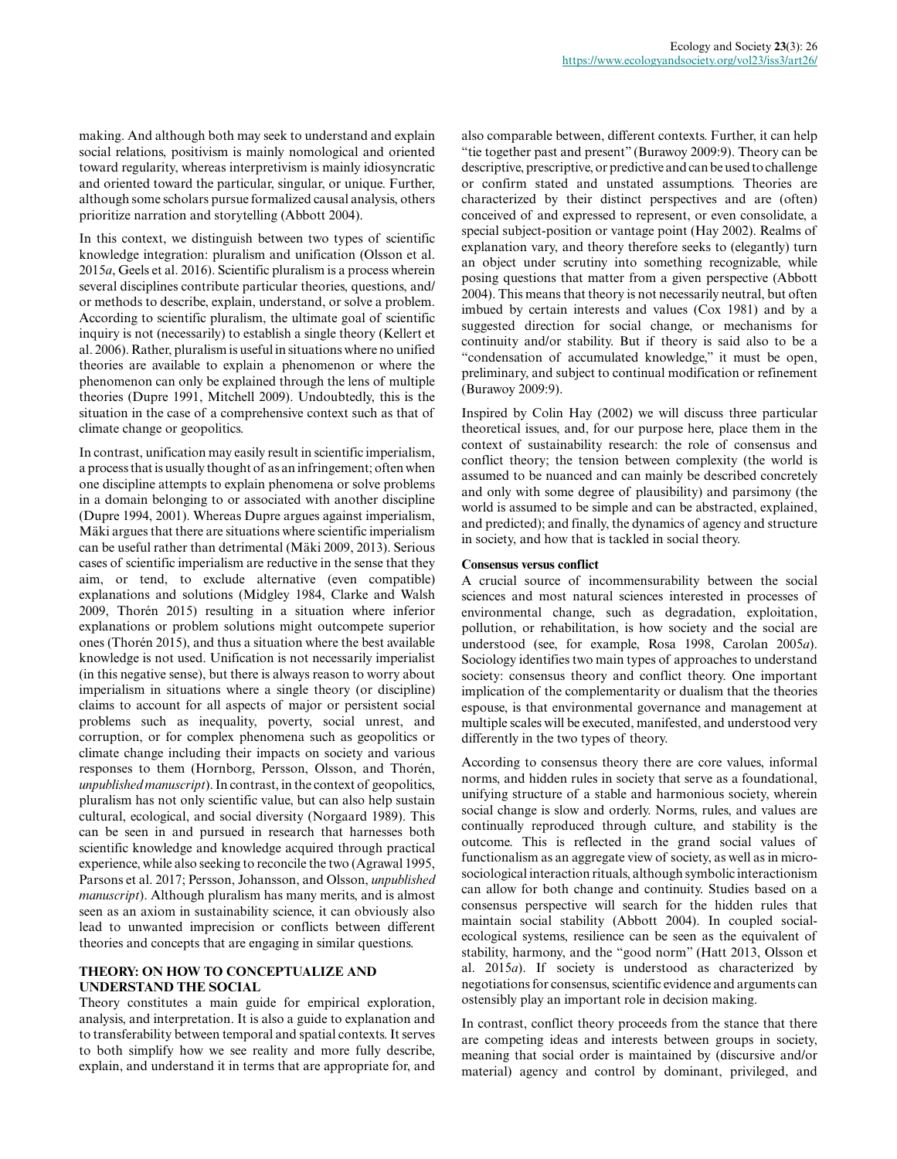making. And although both may seek to understand and explain social relations, positivism is mainly nomological and oriented toward regularity, whereas interpretivism is mainly idiosyncratic and oriented toward the particular, singular, or unique. Further, although some scholars pursue formalized causal analysis, others prioritize narration and storytelling (Abbott 2004).

In this context, we distinguish between two types of scientific knowledge integration: pluralism and unification (Olsson et al. 2015*a*, Geels et al. 2016). Scientific pluralism is a process wherein several disciplines contribute particular theories, questions, and/ or methods to describe, explain, understand, or solve a problem. According to scientific pluralism, the ultimate goal of scientific inquiry is not (necessarily) to establish a single theory (Kellert et al. 2006). Rather, pluralism is useful in situations where no unified theories are available to explain a phenomenon or where the phenomenon can only be explained through the lens of multiple theories (Dupre 1991, Mitchell 2009). Undoubtedly, this is the situation in the case of a comprehensive context such as that of climate change or geopolitics.

In contrast, unification may easily result in scientific imperialism, a process that is usually thought of as an infringement; often when one discipline attempts to explain phenomena or solve problems in a domain belonging to or associated with another discipline (Dupre 1994, 2001). Whereas Dupre argues against imperialism, Mäki argues that there are situations where scientific imperialism can be useful rather than detrimental (Mäki 2009, 2013). Serious cases of scientific imperialism are reductive in the sense that they aim, or tend, to exclude alternative (even compatible) explanations and solutions (Midgley 1984, Clarke and Walsh 2009, Thorén 2015) resulting in a situation where inferior explanations or problem solutions might outcompete superior ones (Thorén 2015), and thus a situation where the best available knowledge is not used. Unification is not necessarily imperialist (in this negative sense), but there is always reason to worry about imperialism in situations where a single theory (or discipline) claims to account for all aspects of major or persistent social problems such as inequality, poverty, social unrest, and corruption, or for complex phenomena such as geopolitics or climate change including their impacts on society and various responses to them (Hornborg, Persson, Olsson, and Thorén, *unpublished manuscript*). In contrast, in the context of geopolitics, pluralism has not only scientific value, but can also help sustain cultural, ecological, and social diversity (Norgaard 1989). This can be seen in and pursued in research that harnesses both scientific knowledge and knowledge acquired through practical experience, while also seeking to reconcile the two (Agrawal 1995, Parsons et al. 2017; Persson, Johansson, and Olsson, *unpublished manuscript*). Although pluralism has many merits, and is almost seen as an axiom in sustainability science, it can obviously also lead to unwanted imprecision or conflicts between different theories and concepts that are engaging in similar questions.

# **THEORY: ON HOW TO CONCEPTUALIZE AND UNDERSTAND THE SOCIAL**

Theory constitutes a main guide for empirical exploration, analysis, and interpretation. It is also a guide to explanation and to transferability between temporal and spatial contexts. It serves to both simplify how we see reality and more fully describe, explain, and understand it in terms that are appropriate for, and

also comparable between, different contexts. Further, it can help "tie together past and present" (Burawoy 2009:9). Theory can be descriptive, prescriptive, or predictive and can be used to challenge or confirm stated and unstated assumptions. Theories are characterized by their distinct perspectives and are (often) conceived of and expressed to represent, or even consolidate, a special subject-position or vantage point (Hay 2002). Realms of explanation vary, and theory therefore seeks to (elegantly) turn an object under scrutiny into something recognizable, while posing questions that matter from a given perspective (Abbott 2004). This means that theory is not necessarily neutral, but often imbued by certain interests and values (Cox 1981) and by a suggested direction for social change, or mechanisms for continuity and/or stability. But if theory is said also to be a "condensation of accumulated knowledge," it must be open, preliminary, and subject to continual modification or refinement (Burawoy 2009:9).

Inspired by Colin Hay (2002) we will discuss three particular theoretical issues, and, for our purpose here, place them in the context of sustainability research: the role of consensus and conflict theory; the tension between complexity (the world is assumed to be nuanced and can mainly be described concretely and only with some degree of plausibility) and parsimony (the world is assumed to be simple and can be abstracted, explained, and predicted); and finally, the dynamics of agency and structure in society, and how that is tackled in social theory.

## **Consensus versus conflict**

A crucial source of incommensurability between the social sciences and most natural sciences interested in processes of environmental change, such as degradation, exploitation, pollution, or rehabilitation, is how society and the social are understood (see, for example, Rosa 1998, Carolan 2005*a*). Sociology identifies two main types of approaches to understand society: consensus theory and conflict theory. One important implication of the complementarity or dualism that the theories espouse, is that environmental governance and management at multiple scales will be executed, manifested, and understood very differently in the two types of theory.

According to consensus theory there are core values, informal norms, and hidden rules in society that serve as a foundational, unifying structure of a stable and harmonious society, wherein social change is slow and orderly. Norms, rules, and values are continually reproduced through culture, and stability is the outcome. This is reflected in the grand social values of functionalism as an aggregate view of society, as well as in microsociological interaction rituals, although symbolic interactionism can allow for both change and continuity. Studies based on a consensus perspective will search for the hidden rules that maintain social stability (Abbott 2004). In coupled socialecological systems, resilience can be seen as the equivalent of stability, harmony, and the "good norm" (Hatt 2013, Olsson et al. 2015*a*). If society is understood as characterized by negotiations for consensus, scientific evidence and arguments can ostensibly play an important role in decision making.

In contrast, conflict theory proceeds from the stance that there are competing ideas and interests between groups in society, meaning that social order is maintained by (discursive and/or material) agency and control by dominant, privileged, and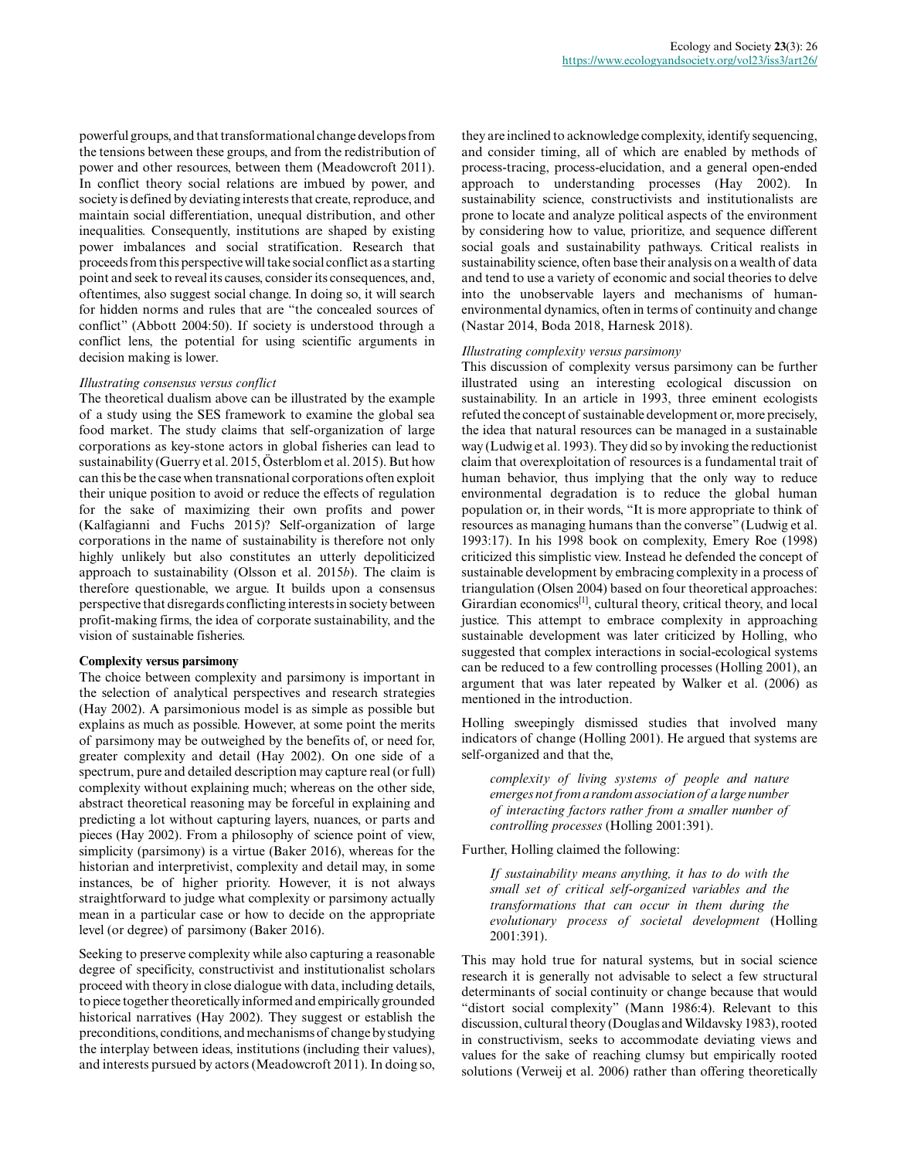powerful groups, and that transformational change develops from the tensions between these groups, and from the redistribution of power and other resources, between them (Meadowcroft 2011). In conflict theory social relations are imbued by power, and society is defined by deviating interests that create, reproduce, and maintain social differentiation, unequal distribution, and other inequalities. Consequently, institutions are shaped by existing power imbalances and social stratification. Research that proceeds from this perspective will take social conflict as a starting point and seek to reveal its causes, consider its consequences, and, oftentimes, also suggest social change. In doing so, it will search for hidden norms and rules that are "the concealed sources of conflict" (Abbott 2004:50). If society is understood through a conflict lens, the potential for using scientific arguments in decision making is lower.

#### *Illustrating consensus versus conflict*

The theoretical dualism above can be illustrated by the example of a study using the SES framework to examine the global sea food market. The study claims that self-organization of large corporations as key-stone actors in global fisheries can lead to sustainability (Guerry et al. 2015, Österblom et al. 2015). But how can this be the case when transnational corporations often exploit their unique position to avoid or reduce the effects of regulation for the sake of maximizing their own profits and power (Kalfagianni and Fuchs 2015)? Self-organization of large corporations in the name of sustainability is therefore not only highly unlikely but also constitutes an utterly depoliticized approach to sustainability (Olsson et al. 2015*b*). The claim is therefore questionable, we argue. It builds upon a consensus perspective that disregards conflicting interests in society between profit-making firms, the idea of corporate sustainability, and the vision of sustainable fisheries.

## **Complexity versus parsimony**

The choice between complexity and parsimony is important in the selection of analytical perspectives and research strategies (Hay 2002). A parsimonious model is as simple as possible but explains as much as possible. However, at some point the merits of parsimony may be outweighed by the benefits of, or need for, greater complexity and detail (Hay 2002). On one side of a spectrum, pure and detailed description may capture real (or full) complexity without explaining much; whereas on the other side, abstract theoretical reasoning may be forceful in explaining and predicting a lot without capturing layers, nuances, or parts and pieces (Hay 2002). From a philosophy of science point of view, simplicity (parsimony) is a virtue (Baker 2016), whereas for the historian and interpretivist, complexity and detail may, in some instances, be of higher priority. However, it is not always straightforward to judge what complexity or parsimony actually mean in a particular case or how to decide on the appropriate level (or degree) of parsimony (Baker 2016).

Seeking to preserve complexity while also capturing a reasonable degree of specificity, constructivist and institutionalist scholars proceed with theory in close dialogue with data, including details, to piece together theoretically informed and empirically grounded historical narratives (Hay 2002). They suggest or establish the preconditions, conditions, and mechanisms of change by studying the interplay between ideas, institutions (including their values), and interests pursued by actors (Meadowcroft 2011). In doing so,

they are inclined to acknowledge complexity, identify sequencing, and consider timing, all of which are enabled by methods of process-tracing, process-elucidation, and a general open-ended approach to understanding processes (Hay 2002). In sustainability science, constructivists and institutionalists are prone to locate and analyze political aspects of the environment by considering how to value, prioritize, and sequence different social goals and sustainability pathways. Critical realists in sustainability science, often base their analysis on a wealth of data and tend to use a variety of economic and social theories to delve into the unobservable layers and mechanisms of humanenvironmental dynamics, often in terms of continuity and change (Nastar 2014, Boda 2018, Harnesk 2018).

#### *Illustrating complexity versus parsimony*

This discussion of complexity versus parsimony can be further illustrated using an interesting ecological discussion on sustainability. In an article in 1993, three eminent ecologists refuted the concept of sustainable development or, more precisely, the idea that natural resources can be managed in a sustainable way (Ludwig et al. 1993). They did so by invoking the reductionist claim that overexploitation of resources is a fundamental trait of human behavior, thus implying that the only way to reduce environmental degradation is to reduce the global human population or, in their words, "It is more appropriate to think of resources as managing humans than the converse" (Ludwig et al. 1993:17). In his 1998 book on complexity, Emery Roe (1998) criticized this simplistic view. Instead he defended the concept of sustainable development by embracing complexity in a process of triangulation (Olsen 2004) based on four theoretical approaches: Girardian economics<sup>[1]</sup>, cultural theory, critical theory, and local justice. This attempt to embrace complexity in approaching sustainable development was later criticized by Holling, who suggested that complex interactions in social-ecological systems can be reduced to a few controlling processes (Holling 2001), an argument that was later repeated by Walker et al. (2006) as mentioned in the introduction.

Holling sweepingly dismissed studies that involved many indicators of change (Holling 2001). He argued that systems are self-organized and that the,

*complexity of living systems of people and nature emerges not from a random association of a large number of interacting factors rather from a smaller number of controlling processes* (Holling 2001:391).

Further, Holling claimed the following:

*If sustainability means anything, it has to do with the small set of critical self-organized variables and the transformations that can occur in them during the evolutionary process of societal development* (Holling 2001:391).

This may hold true for natural systems, but in social science research it is generally not advisable to select a few structural determinants of social continuity or change because that would "distort social complexity" (Mann 1986:4). Relevant to this discussion, cultural theory (Douglas and Wildavsky 1983), rooted in constructivism, seeks to accommodate deviating views and values for the sake of reaching clumsy but empirically rooted solutions (Verweij et al. 2006) rather than offering theoretically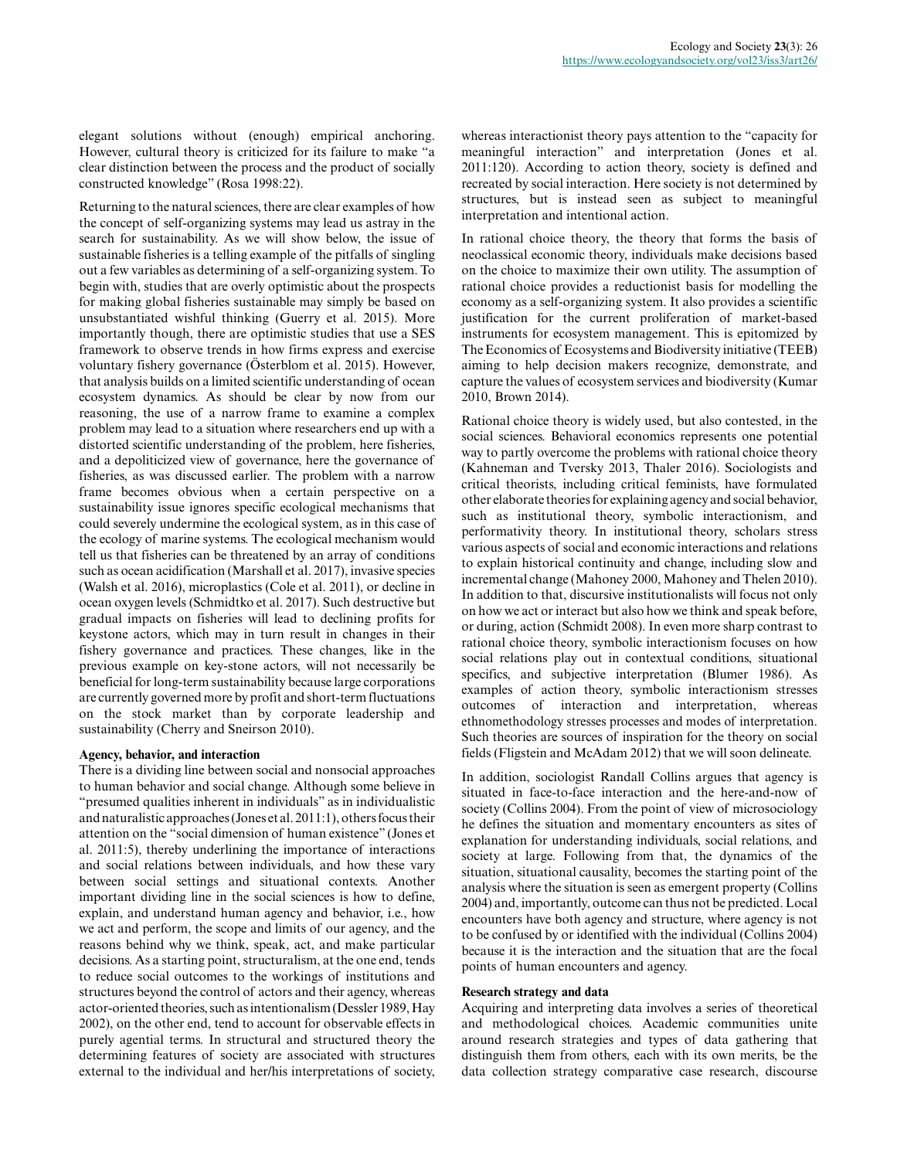elegant solutions without (enough) empirical anchoring. However, cultural theory is criticized for its failure to make "a clear distinction between the process and the product of socially constructed knowledge" (Rosa 1998:22).

Returning to the natural sciences, there are clear examples of how the concept of self-organizing systems may lead us astray in the search for sustainability. As we will show below, the issue of sustainable fisheries is a telling example of the pitfalls of singling out a few variables as determining of a self-organizing system. To begin with, studies that are overly optimistic about the prospects for making global fisheries sustainable may simply be based on unsubstantiated wishful thinking (Guerry et al. 2015). More importantly though, there are optimistic studies that use a SES framework to observe trends in how firms express and exercise voluntary fishery governance (Österblom et al. 2015). However, that analysis builds on a limited scientific understanding of ocean ecosystem dynamics. As should be clear by now from our reasoning, the use of a narrow frame to examine a complex problem may lead to a situation where researchers end up with a distorted scientific understanding of the problem, here fisheries, and a depoliticized view of governance, here the governance of fisheries, as was discussed earlier. The problem with a narrow frame becomes obvious when a certain perspective on a sustainability issue ignores specific ecological mechanisms that could severely undermine the ecological system, as in this case of the ecology of marine systems. The ecological mechanism would tell us that fisheries can be threatened by an array of conditions such as ocean acidification (Marshall et al. 2017), invasive species (Walsh et al. 2016), microplastics (Cole et al. 2011), or decline in ocean oxygen levels (Schmidtko et al. 2017). Such destructive but gradual impacts on fisheries will lead to declining profits for keystone actors, which may in turn result in changes in their fishery governance and practices. These changes, like in the previous example on key-stone actors, will not necessarily be beneficial for long-term sustainability because large corporations are currently governed more by profit and short-term fluctuations on the stock market than by corporate leadership and sustainability (Cherry and Sneirson 2010).

#### **Agency, behavior, and interaction**

There is a dividing line between social and nonsocial approaches to human behavior and social change. Although some believe in "presumed qualities inherent in individuals" as in individualistic and naturalistic approaches (Jones et al. 2011:1), others focus their attention on the "social dimension of human existence" (Jones et al. 2011:5), thereby underlining the importance of interactions and social relations between individuals, and how these vary between social settings and situational contexts. Another important dividing line in the social sciences is how to define, explain, and understand human agency and behavior, i.e., how we act and perform, the scope and limits of our agency, and the reasons behind why we think, speak, act, and make particular decisions. As a starting point, structuralism, at the one end, tends to reduce social outcomes to the workings of institutions and structures beyond the control of actors and their agency, whereas actor-oriented theories, such as intentionalism (Dessler 1989, Hay 2002), on the other end, tend to account for observable effects in purely agential terms. In structural and structured theory the determining features of society are associated with structures external to the individual and her/his interpretations of society,

whereas interactionist theory pays attention to the "capacity for meaningful interaction" and interpretation (Jones et al. 2011:120). According to action theory, society is defined and recreated by social interaction. Here society is not determined by structures, but is instead seen as subject to meaningful interpretation and intentional action.

In rational choice theory, the theory that forms the basis of neoclassical economic theory, individuals make decisions based on the choice to maximize their own utility. The assumption of rational choice provides a reductionist basis for modelling the economy as a self-organizing system. It also provides a scientific justification for the current proliferation of market-based instruments for ecosystem management. This is epitomized by The Economics of Ecosystems and Biodiversity initiative (TEEB) aiming to help decision makers recognize, demonstrate, and capture the values of ecosystem services and biodiversity (Kumar 2010, Brown 2014).

Rational choice theory is widely used, but also contested, in the social sciences. Behavioral economics represents one potential way to partly overcome the problems with rational choice theory (Kahneman and Tversky 2013, Thaler 2016). Sociologists and critical theorists, including critical feminists, have formulated other elaborate theories for explaining agency and social behavior, such as institutional theory, symbolic interactionism, and performativity theory. In institutional theory, scholars stress various aspects of social and economic interactions and relations to explain historical continuity and change, including slow and incremental change (Mahoney 2000, Mahoney and Thelen 2010). In addition to that, discursive institutionalists will focus not only on how we act or interact but also how we think and speak before, or during, action (Schmidt 2008). In even more sharp contrast to rational choice theory, symbolic interactionism focuses on how social relations play out in contextual conditions, situational specifics, and subjective interpretation (Blumer 1986). As examples of action theory, symbolic interactionism stresses outcomes of interaction and interpretation, whereas ethnomethodology stresses processes and modes of interpretation. Such theories are sources of inspiration for the theory on social fields (Fligstein and McAdam 2012) that we will soon delineate.

In addition, sociologist Randall Collins argues that agency is situated in face-to-face interaction and the here-and-now of society (Collins 2004). From the point of view of microsociology he defines the situation and momentary encounters as sites of explanation for understanding individuals, social relations, and society at large. Following from that, the dynamics of the situation, situational causality, becomes the starting point of the analysis where the situation is seen as emergent property (Collins 2004) and, importantly, outcome can thus not be predicted. Local encounters have both agency and structure, where agency is not to be confused by or identified with the individual (Collins 2004) because it is the interaction and the situation that are the focal points of human encounters and agency.

#### **Research strategy and data**

Acquiring and interpreting data involves a series of theoretical and methodological choices. Academic communities unite around research strategies and types of data gathering that distinguish them from others, each with its own merits, be the data collection strategy comparative case research, discourse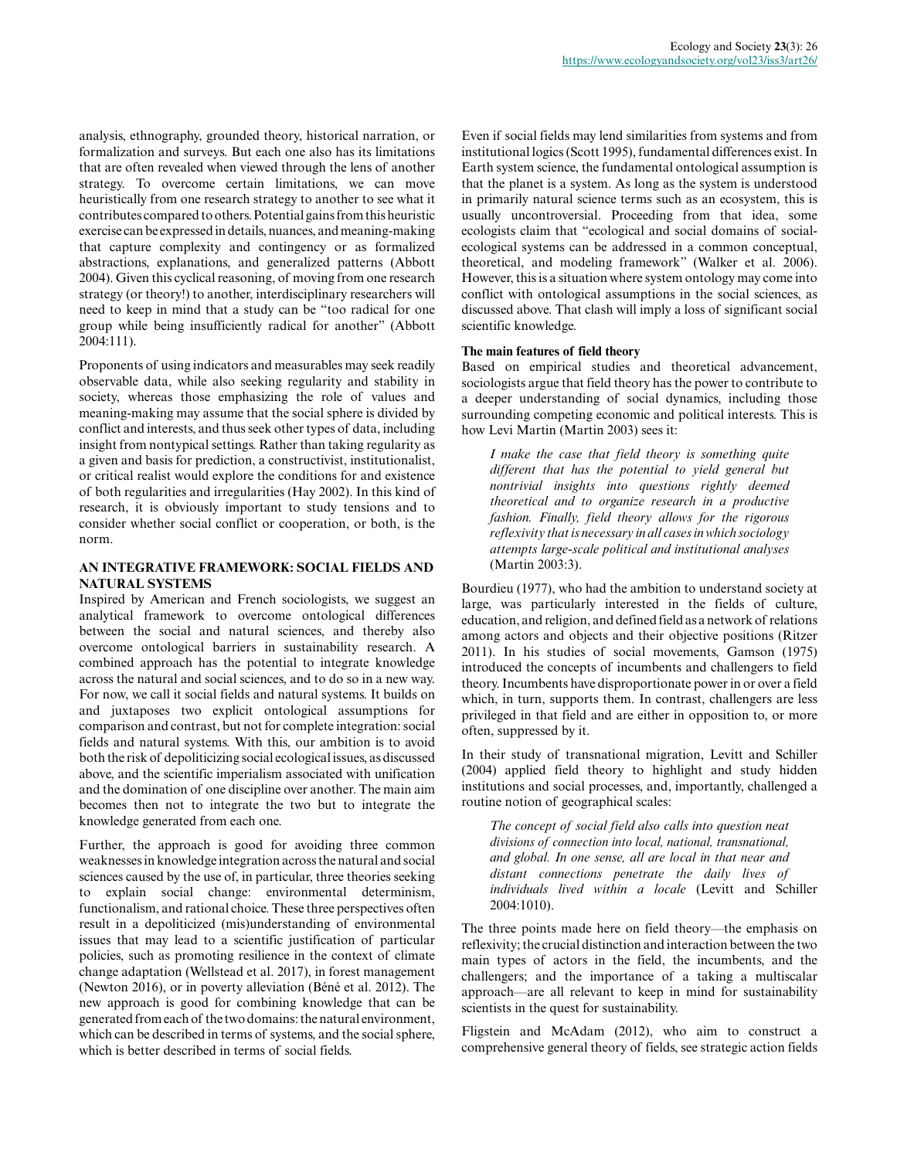analysis, ethnography, grounded theory, historical narration, or formalization and surveys. But each one also has its limitations that are often revealed when viewed through the lens of another strategy. To overcome certain limitations, we can move heuristically from one research strategy to another to see what it contributes compared to others. Potential gains from this heuristic exercise can be expressed in details, nuances, and meaning-making that capture complexity and contingency or as formalized abstractions, explanations, and generalized patterns (Abbott 2004). Given this cyclical reasoning, of moving from one research strategy (or theory!) to another, interdisciplinary researchers will need to keep in mind that a study can be "too radical for one group while being insufficiently radical for another" (Abbott 2004:111).

Proponents of using indicators and measurables may seek readily observable data, while also seeking regularity and stability in society, whereas those emphasizing the role of values and meaning-making may assume that the social sphere is divided by conflict and interests, and thus seek other types of data, including insight from nontypical settings. Rather than taking regularity as a given and basis for prediction, a constructivist, institutionalist, or critical realist would explore the conditions for and existence of both regularities and irregularities (Hay 2002). In this kind of research, it is obviously important to study tensions and to consider whether social conflict or cooperation, or both, is the norm.

# **AN INTEGRATIVE FRAMEWORK: SOCIAL FIELDS AND NATURAL SYSTEMS**

Inspired by American and French sociologists, we suggest an analytical framework to overcome ontological differences between the social and natural sciences, and thereby also overcome ontological barriers in sustainability research. A combined approach has the potential to integrate knowledge across the natural and social sciences, and to do so in a new way. For now, we call it social fields and natural systems. It builds on and juxtaposes two explicit ontological assumptions for comparison and contrast, but not for complete integration: social fields and natural systems. With this, our ambition is to avoid both the risk of depoliticizing social ecological issues, as discussed above, and the scientific imperialism associated with unification and the domination of one discipline over another. The main aim becomes then not to integrate the two but to integrate the knowledge generated from each one.

Further, the approach is good for avoiding three common weaknesses in knowledge integration across the natural and social sciences caused by the use of, in particular, three theories seeking explain social change: environmental determinism, functionalism, and rational choice. These three perspectives often result in a depoliticized (mis)understanding of environmental issues that may lead to a scientific justification of particular policies, such as promoting resilience in the context of climate change adaptation (Wellstead et al. 2017), in forest management (Newton 2016), or in poverty alleviation (Béné et al. 2012). The new approach is good for combining knowledge that can be generated from each of the two domains: the natural environment, which can be described in terms of systems, and the social sphere, which is better described in terms of social fields.

Even if social fields may lend similarities from systems and from institutional logics (Scott 1995), fundamental differences exist. In Earth system science, the fundamental ontological assumption is that the planet is a system. As long as the system is understood in primarily natural science terms such as an ecosystem, this is usually uncontroversial. Proceeding from that idea, some ecologists claim that "ecological and social domains of socialecological systems can be addressed in a common conceptual, theoretical, and modeling framework" (Walker et al. 2006). However, this is a situation where system ontology may come into conflict with ontological assumptions in the social sciences, as discussed above. That clash will imply a loss of significant social scientific knowledge.

# **The main features of field theory**

Based on empirical studies and theoretical advancement, sociologists argue that field theory has the power to contribute to a deeper understanding of social dynamics, including those surrounding competing economic and political interests. This is how Levi Martin (Martin 2003) sees it:

*I make the case that field theory is something quite different that has the potential to yield general but nontrivial insights into questions rightly deemed theoretical and to organize research in a productive fashion. Finally, field theory allows for the rigorous reflexivity that is necessary in all cases in which sociology attempts large-scale political and institutional analyses* (Martin 2003:3).

Bourdieu (1977), who had the ambition to understand society at large, was particularly interested in the fields of culture, education, and religion, and defined field as a network of relations among actors and objects and their objective positions (Ritzer 2011). In his studies of social movements, Gamson (1975) introduced the concepts of incumbents and challengers to field theory. Incumbents have disproportionate power in or over a field which, in turn, supports them. In contrast, challengers are less privileged in that field and are either in opposition to, or more often, suppressed by it.

In their study of transnational migration, Levitt and Schiller (2004) applied field theory to highlight and study hidden institutions and social processes, and, importantly, challenged a routine notion of geographical scales:

*The concept of social field also calls into question neat divisions of connection into local, national, transnational, and global. In one sense, all are local in that near and distant connections penetrate the daily lives of individuals lived within a locale* (Levitt and Schiller 2004:1010).

The three points made here on field theory—the emphasis on reflexivity; the crucial distinction and interaction between the two main types of actors in the field, the incumbents, and the challengers; and the importance of a taking a multiscalar approach—are all relevant to keep in mind for sustainability scientists in the quest for sustainability.

Fligstein and McAdam (2012), who aim to construct a comprehensive general theory of fields, see strategic action fields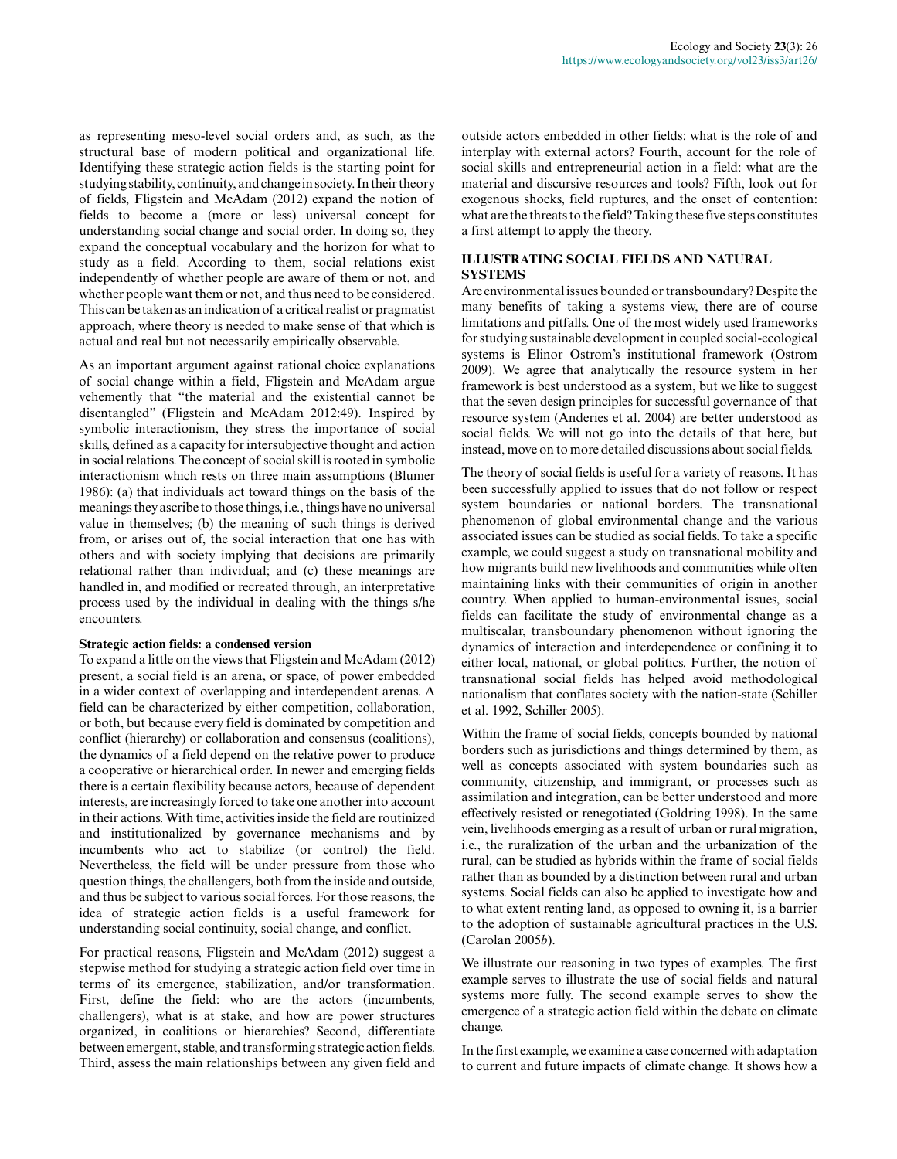as representing meso-level social orders and, as such, as the structural base of modern political and organizational life. Identifying these strategic action fields is the starting point for studying stability, continuity, and change in society. In their theory of fields, Fligstein and McAdam (2012) expand the notion of fields to become a (more or less) universal concept for understanding social change and social order. In doing so, they expand the conceptual vocabulary and the horizon for what to study as a field. According to them, social relations exist independently of whether people are aware of them or not, and whether people want them or not, and thus need to be considered. This can be taken as an indication of a critical realist or pragmatist approach, where theory is needed to make sense of that which is actual and real but not necessarily empirically observable.

As an important argument against rational choice explanations of social change within a field, Fligstein and McAdam argue vehemently that "the material and the existential cannot be disentangled" (Fligstein and McAdam 2012:49). Inspired by symbolic interactionism, they stress the importance of social skills, defined as a capacity for intersubjective thought and action in social relations. The concept of social skill is rooted in symbolic interactionism which rests on three main assumptions (Blumer 1986): (a) that individuals act toward things on the basis of the meanings they ascribe to those things, i.e., things have no universal value in themselves; (b) the meaning of such things is derived from, or arises out of, the social interaction that one has with others and with society implying that decisions are primarily relational rather than individual; and (c) these meanings are handled in, and modified or recreated through, an interpretative process used by the individual in dealing with the things s/he encounters.

#### **Strategic action fields: a condensed version**

To expand a little on the views that Fligstein and McAdam (2012) present, a social field is an arena, or space, of power embedded in a wider context of overlapping and interdependent arenas. A field can be characterized by either competition, collaboration, or both, but because every field is dominated by competition and conflict (hierarchy) or collaboration and consensus (coalitions), the dynamics of a field depend on the relative power to produce a cooperative or hierarchical order. In newer and emerging fields there is a certain flexibility because actors, because of dependent interests, are increasingly forced to take one another into account in their actions. With time, activities inside the field are routinized and institutionalized by governance mechanisms and by incumbents who act to stabilize (or control) the field. Nevertheless, the field will be under pressure from those who question things, the challengers, both from the inside and outside, and thus be subject to various social forces. For those reasons, the idea of strategic action fields is a useful framework for understanding social continuity, social change, and conflict.

For practical reasons, Fligstein and McAdam (2012) suggest a stepwise method for studying a strategic action field over time in terms of its emergence, stabilization, and/or transformation. First, define the field: who are the actors (incumbents, challengers), what is at stake, and how are power structures organized, in coalitions or hierarchies? Second, differentiate between emergent, stable, and transforming strategic action fields. Third, assess the main relationships between any given field and

outside actors embedded in other fields: what is the role of and interplay with external actors? Fourth, account for the role of social skills and entrepreneurial action in a field: what are the material and discursive resources and tools? Fifth, look out for exogenous shocks, field ruptures, and the onset of contention: what are the threats to the field? Taking these five steps constitutes a first attempt to apply the theory.

# **ILLUSTRATING SOCIAL FIELDS AND NATURAL SYSTEMS**

Are environmental issues bounded or transboundary? Despite the many benefits of taking a systems view, there are of course limitations and pitfalls. One of the most widely used frameworks for studying sustainable development in coupled social-ecological systems is Elinor Ostrom's institutional framework (Ostrom 2009). We agree that analytically the resource system in her framework is best understood as a system, but we like to suggest that the seven design principles for successful governance of that resource system (Anderies et al. 2004) are better understood as social fields. We will not go into the details of that here, but instead, move on to more detailed discussions about social fields.

The theory of social fields is useful for a variety of reasons. It has been successfully applied to issues that do not follow or respect system boundaries or national borders. The transnational phenomenon of global environmental change and the various associated issues can be studied as social fields. To take a specific example, we could suggest a study on transnational mobility and how migrants build new livelihoods and communities while often maintaining links with their communities of origin in another country. When applied to human-environmental issues, social fields can facilitate the study of environmental change as a multiscalar, transboundary phenomenon without ignoring the dynamics of interaction and interdependence or confining it to either local, national, or global politics. Further, the notion of transnational social fields has helped avoid methodological nationalism that conflates society with the nation-state (Schiller et al. 1992, Schiller 2005).

Within the frame of social fields, concepts bounded by national borders such as jurisdictions and things determined by them, as well as concepts associated with system boundaries such as community, citizenship, and immigrant, or processes such as assimilation and integration, can be better understood and more effectively resisted or renegotiated (Goldring 1998). In the same vein, livelihoods emerging as a result of urban or rural migration, i.e., the ruralization of the urban and the urbanization of the rural, can be studied as hybrids within the frame of social fields rather than as bounded by a distinction between rural and urban systems. Social fields can also be applied to investigate how and to what extent renting land, as opposed to owning it, is a barrier to the adoption of sustainable agricultural practices in the U.S. (Carolan 2005*b*).

We illustrate our reasoning in two types of examples. The first example serves to illustrate the use of social fields and natural systems more fully. The second example serves to show the emergence of a strategic action field within the debate on climate change.

In the first example, we examine a case concerned with adaptation to current and future impacts of climate change. It shows how a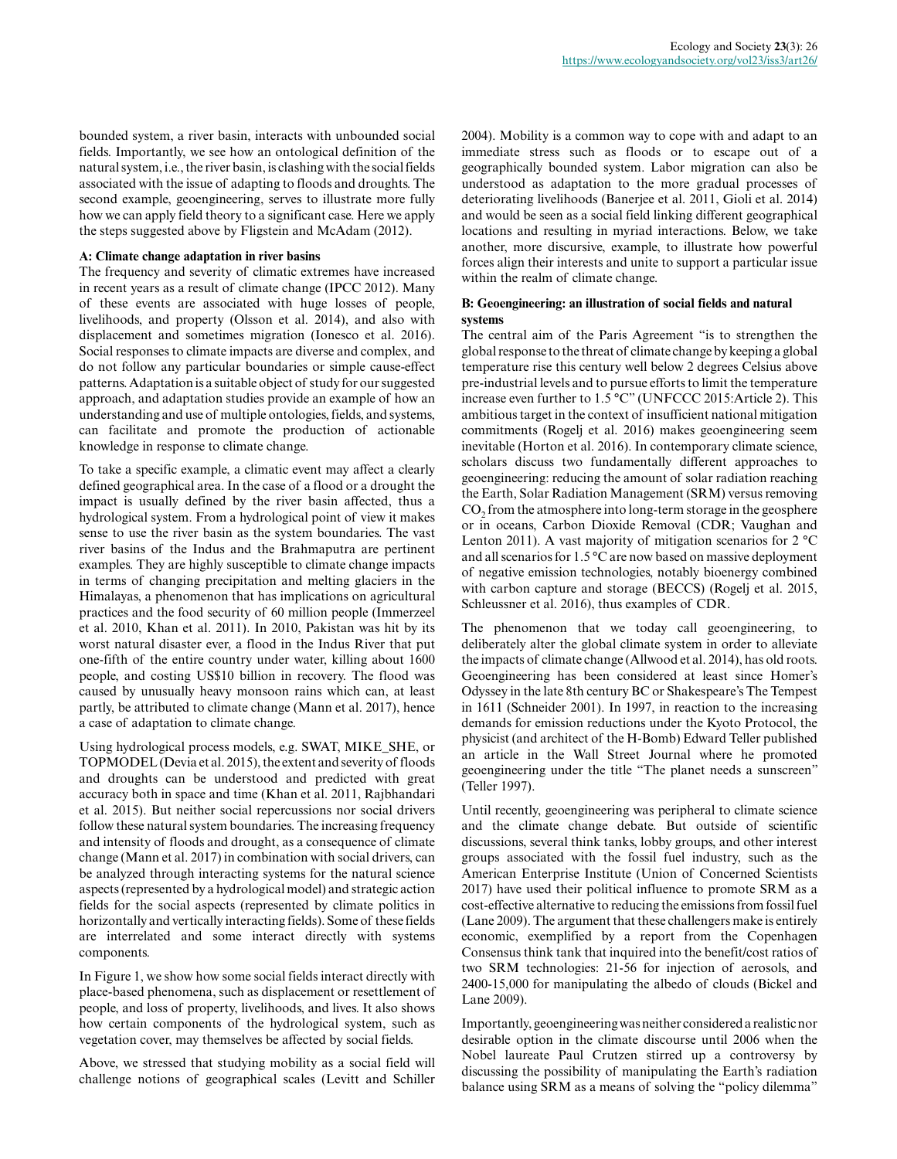bounded system, a river basin, interacts with unbounded social fields. Importantly, we see how an ontological definition of the natural system, i.e., the river basin, is clashing with the social fields associated with the issue of adapting to floods and droughts. The second example, geoengineering, serves to illustrate more fully how we can apply field theory to a significant case. Here we apply the steps suggested above by Fligstein and McAdam (2012).

#### **A: Climate change adaptation in river basins**

The frequency and severity of climatic extremes have increased in recent years as a result of climate change (IPCC 2012). Many of these events are associated with huge losses of people, livelihoods, and property (Olsson et al. 2014), and also with displacement and sometimes migration (Ionesco et al. 2016). Social responses to climate impacts are diverse and complex, and do not follow any particular boundaries or simple cause-effect patterns. Adaptation is a suitable object of study for our suggested approach, and adaptation studies provide an example of how an understanding and use of multiple ontologies, fields, and systems, can facilitate and promote the production of actionable knowledge in response to climate change.

To take a specific example, a climatic event may affect a clearly defined geographical area. In the case of a flood or a drought the impact is usually defined by the river basin affected, thus a hydrological system. From a hydrological point of view it makes sense to use the river basin as the system boundaries. The vast river basins of the Indus and the Brahmaputra are pertinent examples. They are highly susceptible to climate change impacts in terms of changing precipitation and melting glaciers in the Himalayas, a phenomenon that has implications on agricultural practices and the food security of 60 million people (Immerzeel et al. 2010, Khan et al. 2011). In 2010, Pakistan was hit by its worst natural disaster ever, a flood in the Indus River that put one-fifth of the entire country under water, killing about 1600 people, and costing US\$10 billion in recovery. The flood was caused by unusually heavy monsoon rains which can, at least partly, be attributed to climate change (Mann et al. 2017), hence a case of adaptation to climate change.

Using hydrological process models, e.g. SWAT, MIKE\_SHE, or TOPMODEL (Devia et al. 2015), the extent and severity of floods and droughts can be understood and predicted with great accuracy both in space and time (Khan et al. 2011, Rajbhandari et al. 2015). But neither social repercussions nor social drivers follow these natural system boundaries. The increasing frequency and intensity of floods and drought, as a consequence of climate change (Mann et al. 2017) in combination with social drivers, can be analyzed through interacting systems for the natural science aspects (represented by a hydrological model) and strategic action fields for the social aspects (represented by climate politics in horizontally and vertically interacting fields). Some of these fields are interrelated and some interact directly with systems components.

In Figure 1, we show how some social fields interact directly with place-based phenomena, such as displacement or resettlement of people, and loss of property, livelihoods, and lives. It also shows how certain components of the hydrological system, such as vegetation cover, may themselves be affected by social fields.

Above, we stressed that studying mobility as a social field will challenge notions of geographical scales (Levitt and Schiller 2004). Mobility is a common way to cope with and adapt to an immediate stress such as floods or to escape out of a geographically bounded system. Labor migration can also be understood as adaptation to the more gradual processes of deteriorating livelihoods (Banerjee et al. 2011, Gioli et al. 2014) and would be seen as a social field linking different geographical locations and resulting in myriad interactions. Below, we take another, more discursive, example, to illustrate how powerful forces align their interests and unite to support a particular issue within the realm of climate change.

## **B: Geoengineering: an illustration of social fields and natural systems**

The central aim of the Paris Agreement "is to strengthen the global response to the threat of climate change by keeping a global temperature rise this century well below 2 degrees Celsius above pre-industrial levels and to pursue efforts to limit the temperature increase even further to 1.5 °C" (UNFCCC 2015:Article 2). This ambitious target in the context of insufficient national mitigation commitments (Rogelj et al. 2016) makes geoengineering seem inevitable (Horton et al. 2016). In contemporary climate science, scholars discuss two fundamentally different approaches to geoengineering: reducing the amount of solar radiation reaching the Earth, Solar Radiation Management (SRM) versus removing  $\mathrm{CO}_2$  from the atmosphere into long-term storage in the geosphere or in oceans, Carbon Dioxide Removal (CDR; Vaughan and Lenton 2011). A vast majority of mitigation scenarios for 2 °C and all scenarios for 1.5 °C are now based on massive deployment of negative emission technologies, notably bioenergy combined with carbon capture and storage (BECCS) (Rogelj et al. 2015, Schleussner et al. 2016), thus examples of CDR.

The phenomenon that we today call geoengineering, to deliberately alter the global climate system in order to alleviate the impacts of climate change (Allwood et al. 2014), has old roots. Geoengineering has been considered at least since Homer's Odyssey in the late 8th century BC or Shakespeare's The Tempest in 1611 (Schneider 2001). In 1997, in reaction to the increasing demands for emission reductions under the Kyoto Protocol, the physicist (and architect of the H-Bomb) Edward Teller published an article in the Wall Street Journal where he promoted geoengineering under the title "The planet needs a sunscreen" (Teller 1997).

Until recently, geoengineering was peripheral to climate science and the climate change debate. But outside of scientific discussions, several think tanks, lobby groups, and other interest groups associated with the fossil fuel industry, such as the American Enterprise Institute (Union of Concerned Scientists 2017) have used their political influence to promote SRM as a cost-effective alternative to reducing the emissions from fossil fuel (Lane 2009). The argument that these challengers make is entirely economic, exemplified by a report from the Copenhagen Consensus think tank that inquired into the benefit/cost ratios of two SRM technologies: 21-56 for injection of aerosols, and 2400-15,000 for manipulating the albedo of clouds (Bickel and Lane 2009).

Importantly, geoengineering was neither considered a realistic nor desirable option in the climate discourse until 2006 when the Nobel laureate Paul Crutzen stirred up a controversy by discussing the possibility of manipulating the Earth's radiation balance using SRM as a means of solving the "policy dilemma"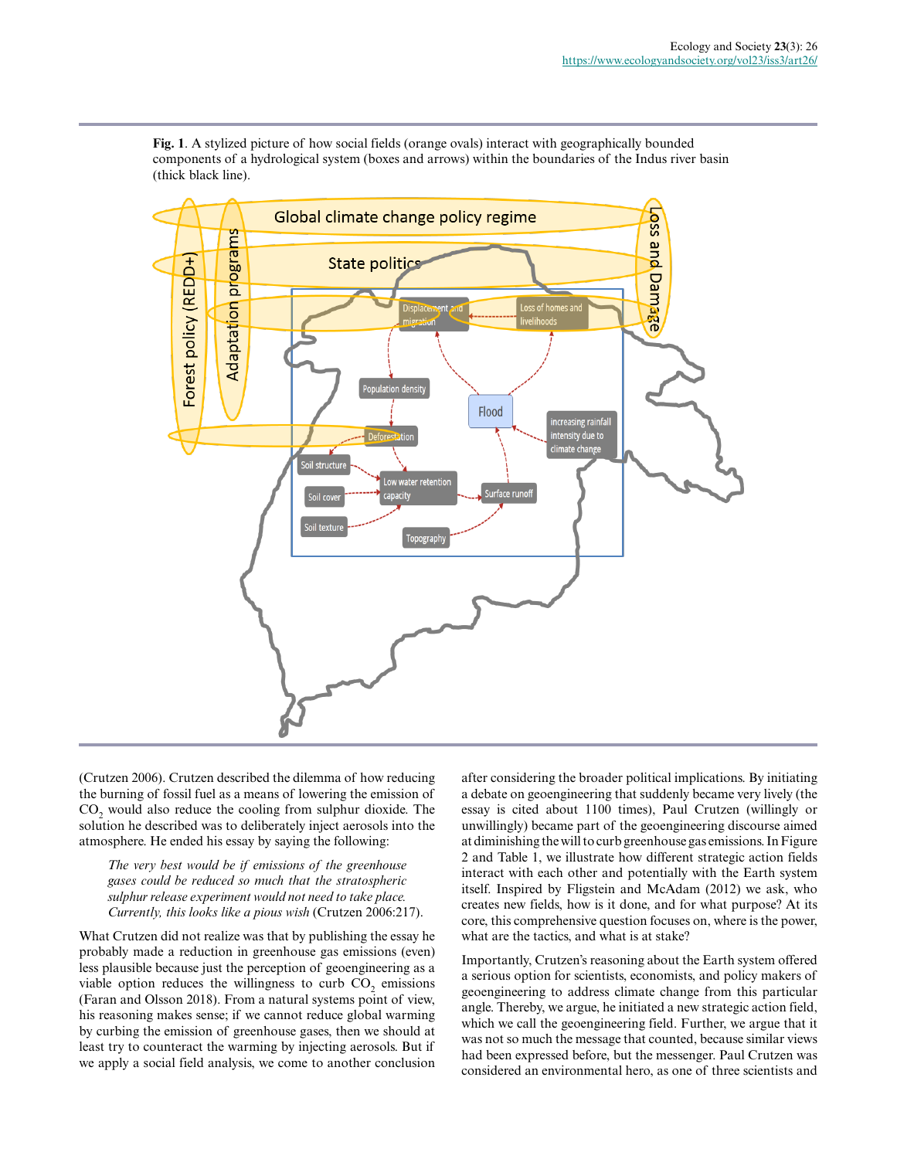**Fig. 1**. A stylized picture of how social fields (orange ovals) interact with geographically bounded components of a hydrological system (boxes and arrows) within the boundaries of the Indus river basin (thick black line).



(Crutzen 2006). Crutzen described the dilemma of how reducing the burning of fossil fuel as a means of lowering the emission of  $CO<sub>2</sub>$  would also reduce the cooling from sulphur dioxide. The solution he described was to deliberately inject aerosols into the atmosphere. He ended his essay by saying the following:

*The very best would be if emissions of the greenhouse gases could be reduced so much that the stratospheric sulphur release experiment would not need to take place. Currently, this looks like a pious wish* (Crutzen 2006:217).

What Crutzen did not realize was that by publishing the essay he probably made a reduction in greenhouse gas emissions (even) less plausible because just the perception of geoengineering as a viable option reduces the willingness to curb  $CO_2$  emissions (Faran and Olsson 2018). From a natural systems point of view, his reasoning makes sense; if we cannot reduce global warming by curbing the emission of greenhouse gases, then we should at least try to counteract the warming by injecting aerosols. But if we apply a social field analysis, we come to another conclusion after considering the broader political implications. By initiating a debate on geoengineering that suddenly became very lively (the essay is cited about 1100 times), Paul Crutzen (willingly or unwillingly) became part of the geoengineering discourse aimed at diminishing the will to curb greenhouse gas emissions. In Figure 2 and Table 1, we illustrate how different strategic action fields interact with each other and potentially with the Earth system itself. Inspired by Fligstein and McAdam (2012) we ask, who creates new fields, how is it done, and for what purpose? At its core, this comprehensive question focuses on, where is the power, what are the tactics, and what is at stake?

Importantly, Crutzen's reasoning about the Earth system offered a serious option for scientists, economists, and policy makers of geoengineering to address climate change from this particular angle. Thereby, we argue, he initiated a new strategic action field, which we call the geoengineering field. Further, we argue that it was not so much the message that counted, because similar views had been expressed before, but the messenger. Paul Crutzen was considered an environmental hero, as one of three scientists and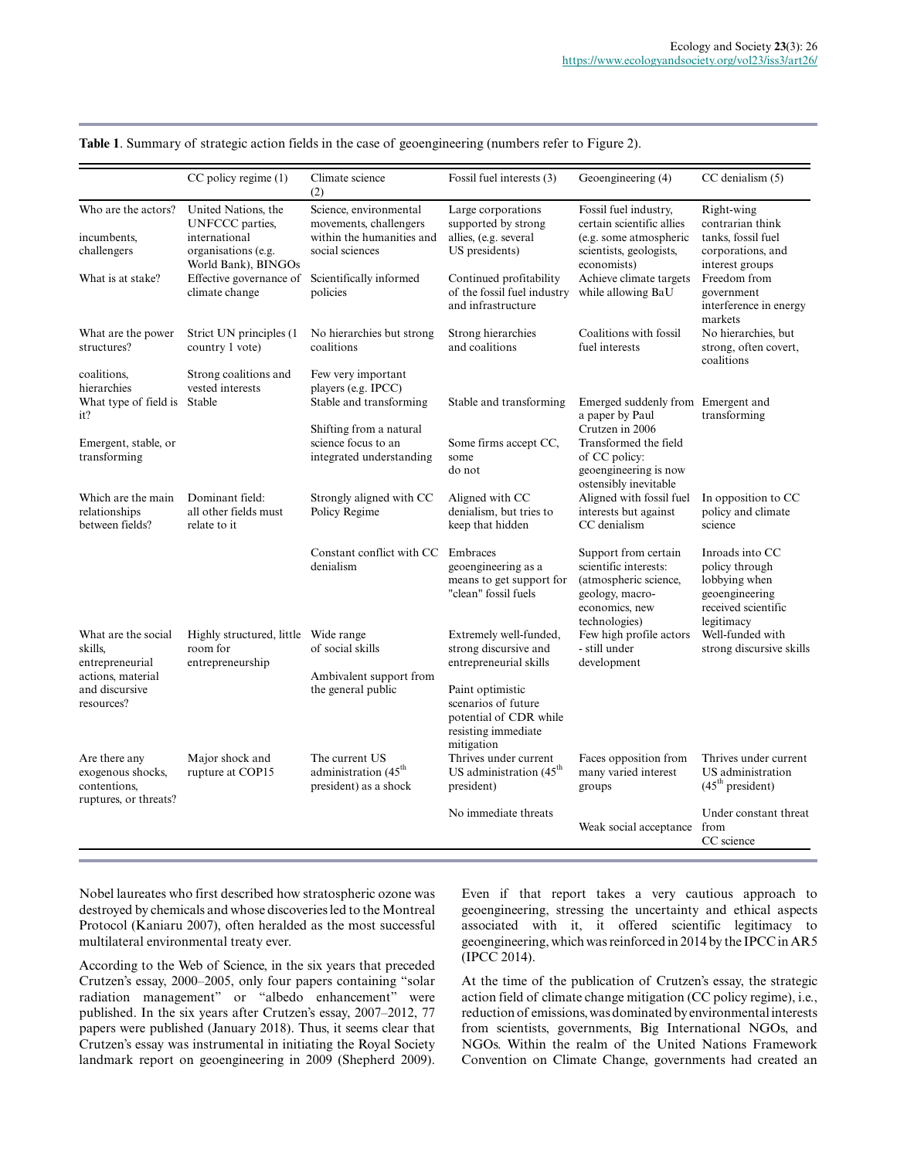|                                                                                                           | CC policy regime (1)                                                                                                                               | Climate science<br>(2)                                                                                                                             | Fossil fuel interests (3)                                                                                                                                             | Geoengineering (4)                                                                                                                                                      | CC denialism (5)                                                                                                                                     |
|-----------------------------------------------------------------------------------------------------------|----------------------------------------------------------------------------------------------------------------------------------------------------|----------------------------------------------------------------------------------------------------------------------------------------------------|-----------------------------------------------------------------------------------------------------------------------------------------------------------------------|-------------------------------------------------------------------------------------------------------------------------------------------------------------------------|------------------------------------------------------------------------------------------------------------------------------------------------------|
| Who are the actors?<br>incumbents,<br>challengers<br>What is at stake?                                    | United Nations, the<br>UNFCCC parties,<br>international<br>organisations (e.g.<br>World Bank), BINGOs<br>Effective governance of<br>climate change | Science, environmental<br>movements, challengers<br>within the humanities and<br>social sciences<br>Scientifically informed<br>policies            | Large corporations<br>supported by strong<br>allies, (e.g. several<br>US presidents)<br>Continued profitability<br>of the fossil fuel industry<br>and infrastructure  | Fossil fuel industry,<br>certain scientific allies<br>(e.g. some atmospheric<br>scientists, geologists,<br>economists)<br>Achieve climate targets<br>while allowing BaU | Right-wing<br>contrarian think<br>tanks, fossil fuel<br>corporations, and<br>interest groups<br>Freedom from<br>government<br>interference in energy |
| What are the power<br>structures?                                                                         | Strict UN principles (1<br>country 1 vote)                                                                                                         | No hierarchies but strong<br>coalitions                                                                                                            | Strong hierarchies<br>and coalitions                                                                                                                                  | Coalitions with fossil<br>fuel interests                                                                                                                                | markets<br>No hierarchies, but<br>strong, often covert,<br>coalitions                                                                                |
| coalitions.<br>hierarchies<br>What type of field is Stable<br>it?<br>Emergent, stable, or<br>transforming | Strong coalitions and<br>vested interests                                                                                                          | Few very important<br>players (e.g. IPCC)<br>Stable and transforming<br>Shifting from a natural<br>science focus to an<br>integrated understanding | Stable and transforming<br>Some firms accept CC,<br>some<br>do not                                                                                                    | Emerged suddenly from Emergent and<br>a paper by Paul<br>Crutzen in 2006<br>Transformed the field<br>of CC policy:<br>geoengineering is now                             | transforming                                                                                                                                         |
| Which are the main<br>relationships<br>between fields?                                                    | Dominant field:<br>all other fields must<br>relate to it.                                                                                          | Strongly aligned with CC<br>Policy Regime                                                                                                          | Aligned with CC<br>denialism, but tries to<br>keep that hidden                                                                                                        | ostensibly inevitable<br>Aligned with fossil fuel<br>interests but against<br>CC denialism                                                                              | In opposition to CC<br>policy and climate<br>science                                                                                                 |
|                                                                                                           |                                                                                                                                                    | Constant conflict with CC Embraces<br>denialism                                                                                                    | geoengineering as a<br>means to get support for<br>"clean" fossil fuels                                                                                               | Support from certain<br>scientific interests:<br>(atmospheric science,<br>geology, macro-<br>economics, new<br>technologies)                                            | Inroads into CC<br>policy through<br>lobbying when<br>geoengineering<br>received scientific<br>legitimacy                                            |
| What are the social<br>skills.<br>entrepreneurial<br>actions, material<br>and discursive<br>resources?    | Highly structured, little Wide range<br>room for<br>entrepreneurship                                                                               | of social skills<br>Ambivalent support from<br>the general public                                                                                  | Extremely well-funded,<br>strong discursive and<br>entrepreneurial skills<br>Paint optimistic<br>scenarios of future<br>potential of CDR while<br>resisting immediate | Few high profile actors<br>- still under<br>development                                                                                                                 | Well-funded with<br>strong discursive skills                                                                                                         |
| Are there any<br>exogenous shocks,<br>contentions,                                                        | Major shock and<br>rupture at COP15                                                                                                                | The current US<br>administration (45 <sup>th</sup><br>president) as a shock                                                                        | mitigation<br>Thrives under current<br>US administration (45 <sup>th</sup><br>president)                                                                              | Faces opposition from<br>many varied interest<br>groups                                                                                                                 | Thrives under current<br>US administration<br>(45 <sup>th</sup> president)                                                                           |
| ruptures, or threats?                                                                                     |                                                                                                                                                    |                                                                                                                                                    | No immediate threats                                                                                                                                                  | Weak social acceptance                                                                                                                                                  | Under constant threat<br>from<br>CC science                                                                                                          |

Table 1. Summary of strategic action fields in the case of geoengineering (numbers refer to Figure 2).

Nobel laureates who first described how stratospheric ozone was destroyed by chemicals and whose discoveries led to the Montreal Protocol (Kaniaru 2007), often heralded as the most successful multilateral environmental treaty ever.

According to the Web of Science, in the six years that preceded Crutzen's essay, 2000–2005, only four papers containing "solar radiation management" or "albedo enhancement" were published. In the six years after Crutzen's essay, 2007–2012, 77 papers were published (January 2018). Thus, it seems clear that Crutzen's essay was instrumental in initiating the Royal Society landmark report on geoengineering in 2009 (Shepherd 2009).

Even if that report takes a very cautious approach to geoengineering, stressing the uncertainty and ethical aspects associated with it, it offered scientific legitimacy to geoengineering, which was reinforced in 2014 by the IPCC in AR5 (IPCC 2014).

At the time of the publication of Crutzen's essay, the strategic action field of climate change mitigation (CC policy regime), i.e., reduction of emissions, was dominated by environmental interests from scientists, governments, Big International NGOs, and NGOs. Within the realm of the United Nations Framework Convention on Climate Change, governments had created an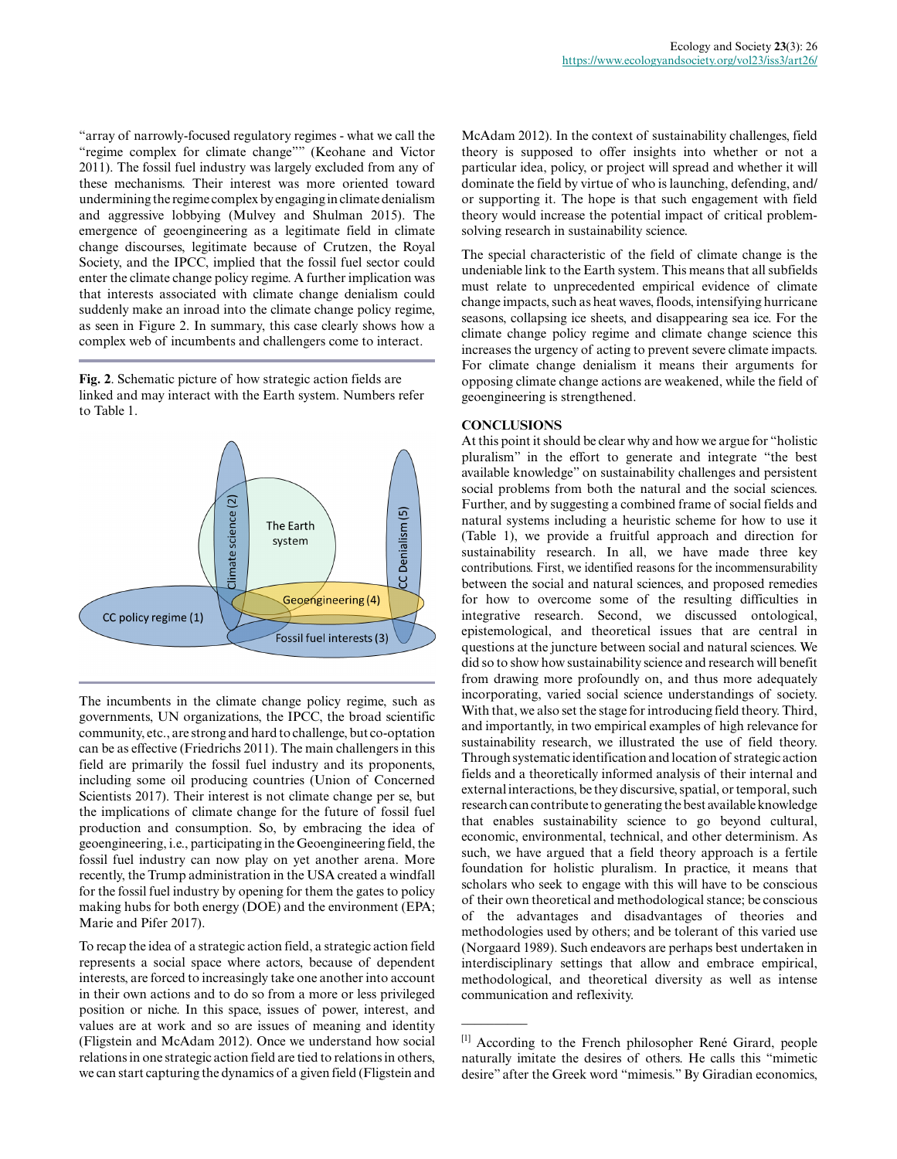"array of narrowly-focused regulatory regimes - what we call the "regime complex for climate change"" (Keohane and Victor 2011). The fossil fuel industry was largely excluded from any of these mechanisms. Their interest was more oriented toward undermining the regime complex by engaging in climate denialism and aggressive lobbying (Mulvey and Shulman 2015). The emergence of geoengineering as a legitimate field in climate change discourses, legitimate because of Crutzen, the Royal Society, and the IPCC, implied that the fossil fuel sector could enter the climate change policy regime. A further implication was that interests associated with climate change denialism could suddenly make an inroad into the climate change policy regime, as seen in Figure 2. In summary, this case clearly shows how a complex web of incumbents and challengers come to interact.

**Fig. 2**. Schematic picture of how strategic action fields are linked and may interact with the Earth system. Numbers refer to Table 1.



The incumbents in the climate change policy regime, such as governments, UN organizations, the IPCC, the broad scientific community, etc., are strong and hard to challenge, but co-optation can be as effective (Friedrichs 2011). The main challengers in this field are primarily the fossil fuel industry and its proponents, including some oil producing countries (Union of Concerned Scientists 2017). Their interest is not climate change per se, but the implications of climate change for the future of fossil fuel production and consumption. So, by embracing the idea of geoengineering, i.e., participating in the Geoengineering field, the fossil fuel industry can now play on yet another arena. More recently, the Trump administration in the USA created a windfall for the fossil fuel industry by opening for them the gates to policy making hubs for both energy (DOE) and the environment (EPA; Marie and Pifer 2017).

To recap the idea of a strategic action field, a strategic action field represents a social space where actors, because of dependent interests, are forced to increasingly take one another into account in their own actions and to do so from a more or less privileged position or niche. In this space, issues of power, interest, and values are at work and so are issues of meaning and identity (Fligstein and McAdam 2012). Once we understand how social relations in one strategic action field are tied to relations in others, we can start capturing the dynamics of a given field (Fligstein and

McAdam 2012). In the context of sustainability challenges, field theory is supposed to offer insights into whether or not a particular idea, policy, or project will spread and whether it will dominate the field by virtue of who is launching, defending, and/ or supporting it. The hope is that such engagement with field theory would increase the potential impact of critical problemsolving research in sustainability science.

The special characteristic of the field of climate change is the undeniable link to the Earth system. This means that all subfields must relate to unprecedented empirical evidence of climate change impacts, such as heat waves, floods, intensifying hurricane seasons, collapsing ice sheets, and disappearing sea ice. For the climate change policy regime and climate change science this increases the urgency of acting to prevent severe climate impacts. For climate change denialism it means their arguments for opposing climate change actions are weakened, while the field of geoengineering is strengthened.

## **CONCLUSIONS**

 $\overline{\phantom{a}}$ 

At this point it should be clear why and how we argue for "holistic pluralism" in the effort to generate and integrate "the best available knowledge" on sustainability challenges and persistent social problems from both the natural and the social sciences. Further, and by suggesting a combined frame of social fields and natural systems including a heuristic scheme for how to use it (Table 1), we provide a fruitful approach and direction for sustainability research. In all, we have made three key contributions. First, we identified reasons for the incommensurability between the social and natural sciences, and proposed remedies for how to overcome some of the resulting difficulties in integrative research. Second, we discussed ontological, epistemological, and theoretical issues that are central in questions at the juncture between social and natural sciences. We did so to show how sustainability science and research will benefit from drawing more profoundly on, and thus more adequately incorporating, varied social science understandings of society. With that, we also set the stage for introducing field theory. Third, and importantly, in two empirical examples of high relevance for sustainability research, we illustrated the use of field theory. Through systematic identification and location of strategic action fields and a theoretically informed analysis of their internal and external interactions, be they discursive, spatial, or temporal, such research can contribute to generating the best available knowledge that enables sustainability science to go beyond cultural, economic, environmental, technical, and other determinism. As such, we have argued that a field theory approach is a fertile foundation for holistic pluralism. In practice, it means that scholars who seek to engage with this will have to be conscious of their own theoretical and methodological stance; be conscious of the advantages and disadvantages of theories and methodologies used by others; and be tolerant of this varied use (Norgaard 1989). Such endeavors are perhaps best undertaken in interdisciplinary settings that allow and embrace empirical, methodological, and theoretical diversity as well as intense communication and reflexivity.

<sup>[1]</sup> According to the French philosopher René Girard, people naturally imitate the desires of others. He calls this "mimetic desire" after the Greek word "mimesis." By Giradian economics,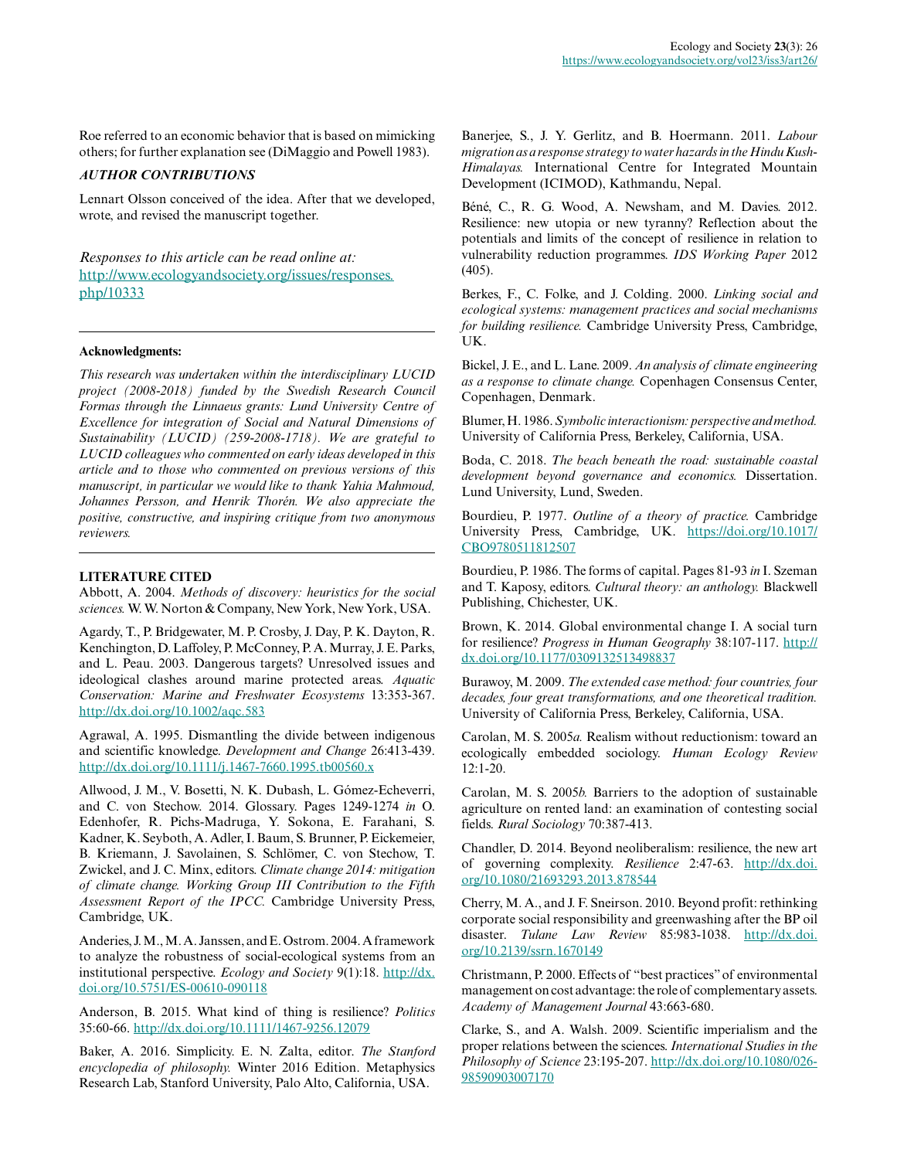Roe referred to an economic behavior that is based on mimicking others; for further explanation see (DiMaggio and Powell 1983).

# *AUTHOR CONTRIBUTIONS*

Lennart Olsson conceived of the idea. After that we developed, wrote, and revised the manuscript together.

*Responses to this article can be read online at:* [http://www.ecologyandsociety.org/issues/responses.](http://www.ecologyandsociety.org/issues/responses.php/10333) [php/10333](http://www.ecologyandsociety.org/issues/responses.php/10333)

#### **Acknowledgments:**

*This research was undertaken within the interdisciplinary LUCID project (2008-2018) funded by the Swedish Research Council Formas through the Linnaeus grants: Lund University Centre of Excellence for integration of Social and Natural Dimensions of Sustainability (LUCID) (259-2008-1718). We are grateful to LUCID colleagues who commented on early ideas developed in this article and to those who commented on previous versions of this manuscript, in particular we would like to thank Yahia Mahmoud, Johannes Persson, and Henrik Thorén. We also appreciate the positive, constructive, and inspiring critique from two anonymous reviewers.*

#### **LITERATURE CITED**

Abbott, A. 2004. *Methods of discovery: heuristics for the social sciences.* W. W. Norton & Company, New York, New York, USA.

Agardy, T., P. Bridgewater, M. P. Crosby, J. Day, P. K. Dayton, R. Kenchington, D. Laffoley, P. McConney, P. A. Murray, J. E. Parks, and L. Peau. 2003. Dangerous targets? Unresolved issues and ideological clashes around marine protected areas. *Aquatic Conservation: Marine and Freshwater Ecosystems* 13:353-367. [http://dx.doi.org/10.1002/aqc.583](http://dx.doi.org/10.1002%2Faqc.583) 

Agrawal, A. 1995. Dismantling the divide between indigenous and scientific knowledge. *Development and Change* 26:413-439. [http://dx.doi.org/10.1111/j.1467-7660.1995.tb00560.x](http://dx.doi.org/10.1111%2Fj.1467-7660.1995.tb00560.x)

Allwood, J. M., V. Bosetti, N. K. Dubash, L. Gómez-Echeverri, and C. von Stechow. 2014. Glossary. Pages 1249-1274 *in* O. Edenhofer, R. Pichs-Madruga, Y. Sokona, E. Farahani, S. Kadner, K. Seyboth, A. Adler, I. Baum, S. Brunner, P. Eickemeier, B. Kriemann, J. Savolainen, S. Schlömer, C. von Stechow, T. Zwickel, and J. C. Minx, editors. *Climate change 2014: mitigation of climate change. Working Group III Contribution to the Fifth Assessment Report of the IPCC.* Cambridge University Press, Cambridge, UK.

Anderies, J. M., M. A. Janssen, and E. Ostrom. 2004. A framework to analyze the robustness of social-ecological systems from an institutional perspective. *Ecology and Society* 9(1):18. [http://dx.](http://dx.doi.org/10.5751%2FES-00610-090118) [doi.org/10.5751/ES-00610-090118](http://dx.doi.org/10.5751%2FES-00610-090118)

Anderson, B. 2015. What kind of thing is resilience? *Politics* 35:60-66. [http://dx.doi.org/10.1111/1467-9256.12079](http://dx.doi.org/10.1111%2F1467-9256.12079)

Baker, A. 2016. Simplicity. E. N. Zalta, editor. *The Stanford encyclopedia of philosophy.* Winter 2016 Edition. Metaphysics Research Lab, Stanford University, Palo Alto, California, USA.

Banerjee, S., J. Y. Gerlitz, and B. Hoermann. 2011. *Labour migration as a response strategy to water hazards in the Hindu Kush-Himalayas.* International Centre for Integrated Mountain Development (ICIMOD), Kathmandu, Nepal.

Béné, C., R. G. Wood, A. Newsham, and M. Davies. 2012. Resilience: new utopia or new tyranny? Reflection about the potentials and limits of the concept of resilience in relation to vulnerability reduction programmes. *IDS Working Paper* 2012 (405).

Berkes, F., C. Folke, and J. Colding. 2000. *Linking social and ecological systems: management practices and social mechanisms for building resilience.* Cambridge University Press, Cambridge, UK.

Bickel, J. E., and L. Lane. 2009. *An analysis of climate engineering as a response to climate change.* Copenhagen Consensus Center, Copenhagen, Denmark.

Blumer, H. 1986. *Symbolic interactionism: perspective and method.* University of California Press, Berkeley, California, USA.

Boda, C. 2018. *The beach beneath the road: sustainable coastal development beyond governance and economics.* Dissertation. Lund University, Lund, Sweden.

Bourdieu, P. 1977. *Outline of a theory of practice.* Cambridge University Press, Cambridge, UK. [https://doi.org/10.1017/](https://doi.org/10.1017/CBO9780511812507) [CBO9780511812507](https://doi.org/10.1017/CBO9780511812507) 

Bourdieu, P. 1986. The forms of capital. Pages 81-93 *in* I. Szeman and T. Kaposy, editors. *Cultural theory: an anthology.* Blackwell Publishing, Chichester, UK.

Brown, K. 2014. Global environmental change I. A social turn for resilience? *Progress in Human Geography* 38:107-117. [http://](http://dx.doi.org/10.1177%2F0309132513498837) [dx.doi.org/10.1177/0309132513498837](http://dx.doi.org/10.1177%2F0309132513498837) 

Burawoy, M. 2009. *The extended case method: four countries, four decades, four great transformations, and one theoretical tradition.* University of California Press, Berkeley, California, USA.

Carolan, M. S. 2005*a.* Realism without reductionism: toward an ecologically embedded sociology. *Human Ecology Review* 12:1-20.

Carolan, M. S. 2005*b.* Barriers to the adoption of sustainable agriculture on rented land: an examination of contesting social fields. *Rural Sociology* 70:387-413.

Chandler, D. 2014. Beyond neoliberalism: resilience, the new art of governing complexity. *Resilience* 2:47-63. [http://dx.doi.](http://dx.doi.org/10.1080%2F21693293.2013.878544) [org/10.1080/21693293.2013.878544](http://dx.doi.org/10.1080%2F21693293.2013.878544)

Cherry, M. A., and J. F. Sneirson. 2010. Beyond profit: rethinking corporate social responsibility and greenwashing after the BP oil disaster. *Tulane Law Review* 85:983-1038. [http://dx.doi.](http://dx.doi.org/10.2139%2Fssrn.1670149) [org/10.2139/ssrn.1670149](http://dx.doi.org/10.2139%2Fssrn.1670149)

Christmann, P. 2000. Effects of "best practices" of environmental management on cost advantage: the role of complementary assets. *Academy of Management Journal* 43:663-680.

Clarke, S., and A. Walsh. 2009. Scientific imperialism and the proper relations between the sciences. *International Studies in the Philosophy of Science* 23:195-207. [http://dx.doi.org/10.1080/026](http://dx.doi.org/10.1080%2F02698590903007170) [98590903007170](http://dx.doi.org/10.1080%2F02698590903007170)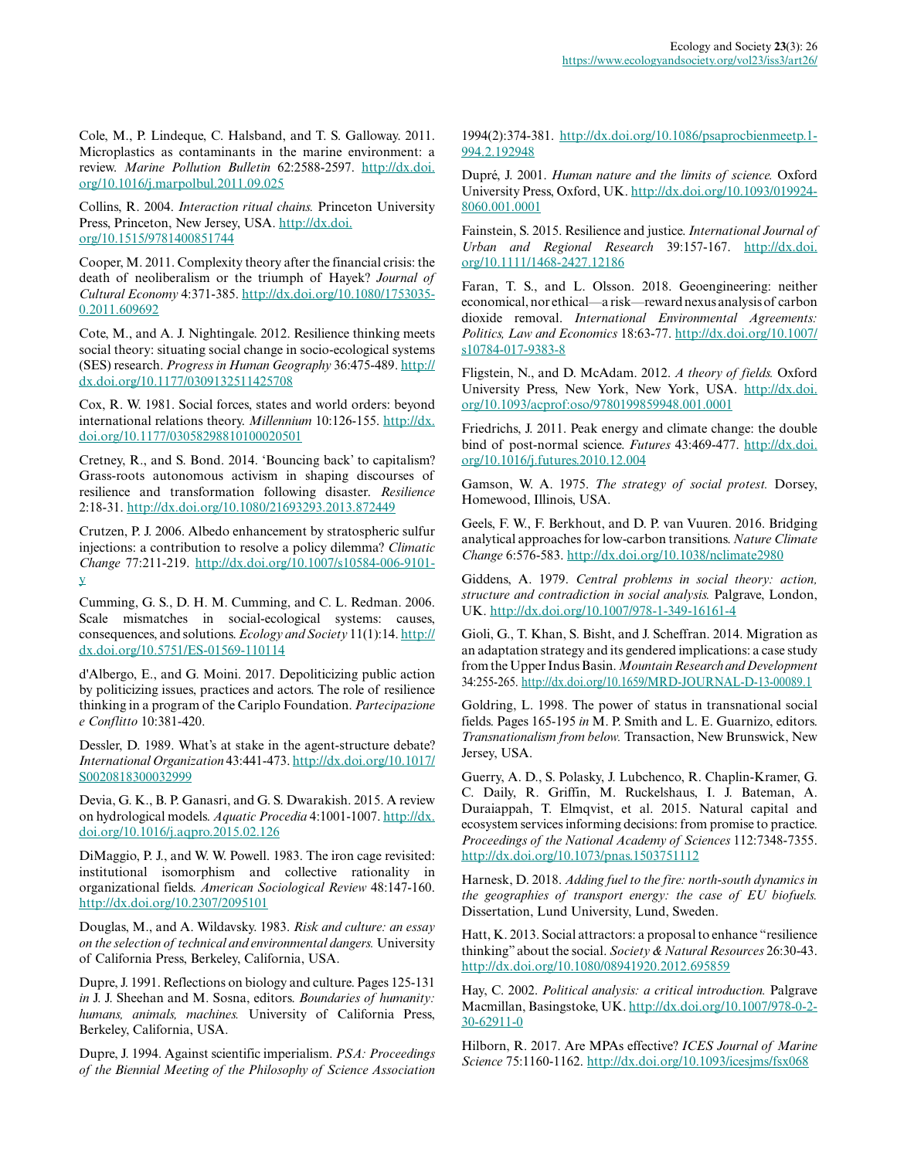Cole, M., P. Lindeque, C. Halsband, and T. S. Galloway. 2011. Microplastics as contaminants in the marine environment: a review. *Marine Pollution Bulletin* 62:2588-2597. [http://dx.doi.](http://dx.doi.org/10.1016%2Fj.marpolbul.2011.09.025) [org/10.1016/j.marpolbul.2011.09.025](http://dx.doi.org/10.1016%2Fj.marpolbul.2011.09.025) 

Collins, R. 2004. *Interaction ritual chains.* Princeton University Press, Princeton, New Jersey, USA. [http://dx.doi.](http://dx.doi.org/10.1515%2F9781400851744) [org/10.1515/9781400851744](http://dx.doi.org/10.1515%2F9781400851744) 

Cooper, M. 2011. Complexity theory after the financial crisis: the death of neoliberalism or the triumph of Hayek? *Journal of Cultural Economy* 4:371-385. [http://dx.doi.org/10.1080/1753035](http://dx.doi.org/10.1080%2F17530350.2011.609692) [0.2011.609692](http://dx.doi.org/10.1080%2F17530350.2011.609692)

Cote, M., and A. J. Nightingale. 2012. Resilience thinking meets social theory: situating social change in socio-ecological systems (SES) research. *Progress in Human Geography* 36:475-489. [http://](http://dx.doi.org/10.1177%2F0309132511425708) [dx.doi.org/10.1177/0309132511425708](http://dx.doi.org/10.1177%2F0309132511425708) 

Cox, R. W. 1981. Social forces, states and world orders: beyond international relations theory. *Millennium* 10:126-155. [http://dx.](http://dx.doi.org/10.1177%2F03058298810100020501) [doi.org/10.1177/03058298810100020501](http://dx.doi.org/10.1177%2F03058298810100020501)

Cretney, R., and S. Bond. 2014. 'Bouncing back' to capitalism? Grass-roots autonomous activism in shaping discourses of resilience and transformation following disaster. *Resilience* 2:18-31. [http://dx.doi.org/10.1080/21693293.2013.872449](http://dx.doi.org/10.1080%2F21693293.2013.872449) 

Crutzen, P. J. 2006. Albedo enhancement by stratospheric sulfur injections: a contribution to resolve a policy dilemma? *Climatic Change* 77:211-219. [http://dx.doi.org/10.1007/s10584-006-9101](http://dx.doi.org/10.1007%2Fs10584-006-9101-y) [y](http://dx.doi.org/10.1007%2Fs10584-006-9101-y)

Cumming, G. S., D. H. M. Cumming, and C. L. Redman. 2006. Scale mismatches in social-ecological systems: causes, consequences, and solutions. *Ecology and Society* 11(1):14. [http://](http://dx.doi.org/10.5751%2FES-01569-110114) [dx.doi.org/10.5751/ES-01569-110114](http://dx.doi.org/10.5751%2FES-01569-110114)

d'Albergo, E., and G. Moini. 2017. Depoliticizing public action by politicizing issues, practices and actors. The role of resilience thinking in a program of the Cariplo Foundation. *Partecipazione e Conflitto* 10:381-420.

Dessler, D. 1989. What's at stake in the agent-structure debate? *International Organization* 43:441-473. [http://dx.doi.org/10.1017/](http://dx.doi.org/10.1017%2FS0020818300032999) [S0020818300032999](http://dx.doi.org/10.1017%2FS0020818300032999) 

Devia, G. K., B. P. Ganasri, and G. S. Dwarakish. 2015. A review on hydrological models. *Aquatic Procedia* 4:1001-1007. [http://dx.](http://dx.doi.org/10.1016%2Fj.aqpro.2015.02.126) [doi.org/10.1016/j.aqpro.2015.02.126](http://dx.doi.org/10.1016%2Fj.aqpro.2015.02.126) 

DiMaggio, P. J., and W. W. Powell. 1983. The iron cage revisited: institutional isomorphism and collective rationality in organizational fields. *American Sociological Review* 48:147-160. [http://dx.doi.org/10.2307/2095101](http://dx.doi.org/10.2307%2F2095101) 

Douglas, M., and A. Wildavsky. 1983. *Risk and culture: an essay on the selection of technical and environmental dangers.* University of California Press, Berkeley, California, USA.

Dupre, J. 1991. Reflections on biology and culture. Pages 125-131 *in* J. J. Sheehan and M. Sosna, editors. *Boundaries of humanity: humans, animals, machines.* University of California Press, Berkeley, California, USA.

Dupre, J. 1994. Against scientific imperialism. *PSA: Proceedings of the Biennial Meeting of the Philosophy of Science Association*

1994(2):374-381. [http://dx.doi.org/10.1086/psaprocbienmeetp.1](http://dx.doi.org/10.1086%2Fpsaprocbienmeetp.1994.2.192948) [994.2.192948](http://dx.doi.org/10.1086%2Fpsaprocbienmeetp.1994.2.192948) 

Dupré, J. 2001. *Human nature and the limits of science.* Oxford University Press, Oxford, UK. [http://dx.doi.org/10.1093/019924](http://dx.doi.org/10.1093%2F0199248060.001.0001) [8060.001.0001](http://dx.doi.org/10.1093%2F0199248060.001.0001)

Fainstein, S. 2015. Resilience and justice. *International Journal of Urban and Regional Research* 39:157-167. [http://dx.doi.](http://dx.doi.org/10.1111%2F1468-2427.12186) [org/10.1111/1468-2427.12186](http://dx.doi.org/10.1111%2F1468-2427.12186)

Faran, T. S., and L. Olsson. 2018. Geoengineering: neither economical, nor ethical—a risk—reward nexus analysis of carbon dioxide removal. *International Environmental Agreements: Politics, Law and Economics* 18:63-77. [http://dx.doi.org/10.1007/](http://dx.doi.org/10.1007%2Fs10784-017-9383-8) [s10784-017-9383-8](http://dx.doi.org/10.1007%2Fs10784-017-9383-8) 

Fligstein, N., and D. McAdam. 2012. *A theory of fields.* Oxford University Press, New York, New York, USA. [http://dx.doi.](http://dx.doi.org/10.1093%2Facprof%3Aoso%2F9780199859948.001.0001) [org/10.1093/acprof:oso/9780199859948.001.0001](http://dx.doi.org/10.1093%2Facprof%3Aoso%2F9780199859948.001.0001) 

Friedrichs, J. 2011. Peak energy and climate change: the double bind of post-normal science. *Futures* 43:469-477. [http://dx.doi.](http://dx.doi.org/10.1016%2Fj.futures.2010.12.004) [org/10.1016/j.futures.2010.12.004](http://dx.doi.org/10.1016%2Fj.futures.2010.12.004) 

Gamson, W. A. 1975. *The strategy of social protest.* Dorsey, Homewood, Illinois, USA.

Geels, F. W., F. Berkhout, and D. P. van Vuuren. 2016. Bridging analytical approaches for low-carbon transitions. *Nature Climate Change* 6:576-583. [http://dx.doi.org/10.1038/nclimate2980](http://dx.doi.org/10.1038%2Fnclimate2980) 

Giddens, A. 1979. *Central problems in social theory: action, structure and contradiction in social analysis.* Palgrave, London, UK. [http://dx.doi.org/10.1007/978-1-349-16161-4](http://dx.doi.org/10.1007%2F978-1-349-16161-4)

Gioli, G., T. Khan, S. Bisht, and J. Scheffran. 2014. Migration as an adaptation strategy and its gendered implications: a case study from the Upper Indus Basin. *Mountain Research and Development* 34:255-265. [http://dx.doi.org/10.1659/MRD-JOURNAL-D-13-00089.1](http://dx.doi.org/10.1659%2FMRD-JOURNAL-D-13-00089.1)

Goldring, L. 1998. The power of status in transnational social fields. Pages 165-195 *in* M. P. Smith and L. E. Guarnizo, editors. *Transnationalism from below.* Transaction, New Brunswick, New Jersey, USA.

Guerry, A. D., S. Polasky, J. Lubchenco, R. Chaplin-Kramer, G. C. Daily, R. Griffin, M. Ruckelshaus, I. J. Bateman, A. Duraiappah, T. Elmqvist, et al. 2015. Natural capital and ecosystem services informing decisions: from promise to practice. *Proceedings of the National Academy of Sciences* 112:7348-7355. [http://dx.doi.org/10.1073/pnas.1503751112](http://dx.doi.org/10.1073%2Fpnas.1503751112)

Harnesk, D. 2018. *Adding fuel to the fire: north-south dynamics in the geographies of transport energy: the case of EU biofuels.* Dissertation, Lund University, Lund, Sweden.

Hatt, K. 2013. Social attractors: a proposal to enhance "resilience thinking" about the social. *Society & Natural Resources* 26:30-43. [http://dx.doi.org/10.1080/08941920.2012.695859](http://dx.doi.org/10.1080%2F08941920.2012.695859)

Hay, C. 2002. *Political analysis: a critical introduction.* Palgrave Macmillan, Basingstoke, UK. [http://dx.doi.org/10.1007/978-0-2](http://dx.doi.org/10.1007%2F978-0-230-62911-0) [30-62911-0](http://dx.doi.org/10.1007%2F978-0-230-62911-0) 

Hilborn, R. 2017. Are MPAs effective? *ICES Journal of Marine Science* 75:1160-1162. [http://dx.doi.org/10.1093/icesjms/fsx068](http://dx.doi.org/10.1093%2Ficesjms%2Ffsx068)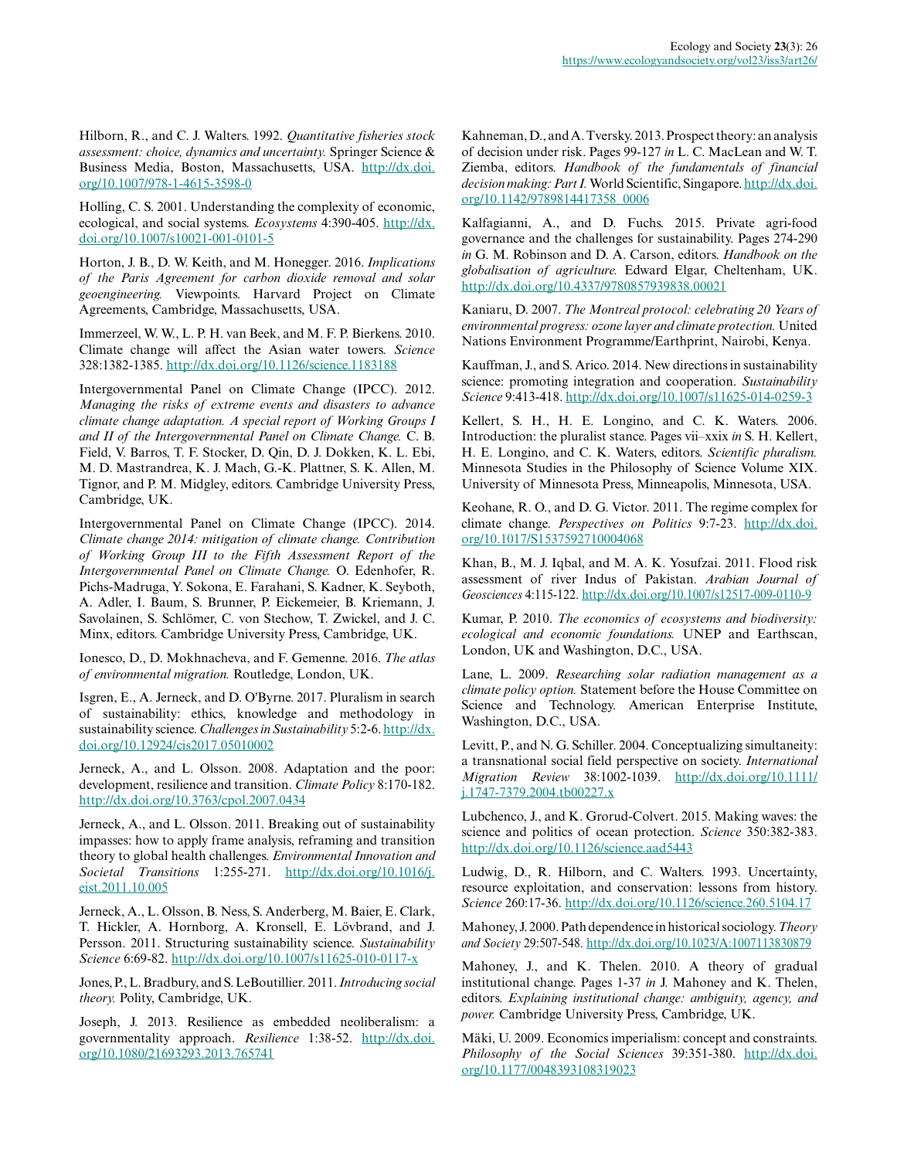Hilborn, R., and C. J. Walters. 1992. *Quantitative fisheries stock assessment: choice, dynamics and uncertainty.* Springer Science & Business Media, Boston, Massachusetts, USA. [http://dx.doi.](http://dx.doi.org/10.1007%2F978-1-4615-3598-0) [org/10.1007/978-1-4615-3598-0](http://dx.doi.org/10.1007%2F978-1-4615-3598-0) 

Holling, C. S. 2001. Understanding the complexity of economic, ecological, and social systems. *Ecosystems* 4:390-405. [http://dx.](http://dx.doi.org/10.1007%2Fs10021-001-0101-5) [doi.org/10.1007/s10021-001-0101-5](http://dx.doi.org/10.1007%2Fs10021-001-0101-5) 

Horton, J. B., D. W. Keith, and M. Honegger. 2016. *Implications of the Paris Agreement for carbon dioxide removal and solar geoengineering.* Viewpoints. Harvard Project on Climate Agreements, Cambridge, Massachusetts, USA.

Immerzeel, W. W., L. P. H. van Beek, and M. F. P. Bierkens. 2010. Climate change will affect the Asian water towers. *Science* 328:1382-1385. [http://dx.doi.org/10.1126/science.1183188](http://dx.doi.org/10.1126%2Fscience.1183188)

Intergovernmental Panel on Climate Change (IPCC). 2012. *Managing the risks of extreme events and disasters to advance climate change adaptation. A special report of Working Groups I and II of the Intergovernmental Panel on Climate Change.* C. B. Field, V. Barros, T. F. Stocker, D. Qin, D. J. Dokken, K. L. Ebi, M. D. Mastrandrea, K. J. Mach, G.-K. Plattner, S. K. Allen, M. Tignor, and P. M. Midgley, editors. Cambridge University Press, Cambridge, UK.

Intergovernmental Panel on Climate Change (IPCC). 2014. *Climate change 2014: mitigation of climate change. Contribution of Working Group III to the Fifth Assessment Report of the Intergovernmental Panel on Climate Change.* O. Edenhofer, R. Pichs-Madruga, Y. Sokona, E. Farahani, S. Kadner, K. Seyboth, A. Adler, I. Baum, S. Brunner, P. Eickemeier, B. Kriemann, J. Savolainen, S. Schlömer, C. von Stechow, T. Zwickel, and J. C. Minx, editors. Cambridge University Press, Cambridge, UK.

Ionesco, D., D. Mokhnacheva, and F. Gemenne. 2016. *The atlas of environmental migration.* Routledge, London, UK.

Isgren, E., A. Jerneck, and D. O'Byrne. 2017. Pluralism in search of sustainability: ethics, knowledge and methodology in sustainability science. *Challenges in Sustainability* 5:2-6. [http://dx.](http://dx.doi.org/10.12924%2Fcis2017.05010002) [doi.org/10.12924/cis2017.05010002](http://dx.doi.org/10.12924%2Fcis2017.05010002) 

Jerneck, A., and L. Olsson. 2008. Adaptation and the poor: development, resilience and transition. *Climate Policy* 8:170-182. [http://dx.doi.org/10.3763/cpol.2007.0434](http://dx.doi.org/10.3763%2Fcpol.2007.0434) 

Jerneck, A., and L. Olsson. 2011. Breaking out of sustainability impasses: how to apply frame analysis, reframing and transition theory to global health challenges. *Environmental Innovation and Societal Transitions* 1:255-271. [http://dx.doi.org/10.1016/j.](http://dx.doi.org/10.1016%2Fj.eist.2011.10.005) [eist.2011.10.005](http://dx.doi.org/10.1016%2Fj.eist.2011.10.005) 

Jerneck, A., L. Olsson, B. Ness, S. Anderberg, M. Baier, E. Clark, T. Hickler, A. Hornborg, A. Kronsell, E. Lövbrand, and J. Persson. 2011. Structuring sustainability science. *Sustainability Science* 6:69-82. [http://dx.doi.org/10.1007/s11625-010-0117-x](http://dx.doi.org/10.1007%2Fs11625-010-0117-x)

Jones, P., L. Bradbury, and S. LeBoutillier. 2011. *Introducing social theory.* Polity, Cambridge, UK.

Joseph, J. 2013. Resilience as embedded neoliberalism: a governmentality approach. *Resilience* 1:38-52. [http://dx.doi.](http://dx.doi.org/10.1080%2F21693293.2013.765741) [org/10.1080/21693293.2013.765741](http://dx.doi.org/10.1080%2F21693293.2013.765741)

Kahneman, D., and A. Tversky. 2013. Prospect theory: an analysis of decision under risk. Pages 99-127 *in* L. C. MacLean and W. T. Ziemba, editors. *Handbook of the fundamentals of financial decision making: Part I.* World Scientific, Singapore. [http://dx.doi.](http://dx.doi.org/10.1142%2F9789814417358_0006) [org/10.1142/9789814417358\\_0006](http://dx.doi.org/10.1142%2F9789814417358_0006)

Kalfagianni, A., and D. Fuchs. 2015. Private agri-food governance and the challenges for sustainability. Pages 274-290 *in* G. M. Robinson and D. A. Carson, editors. *Handbook on the globalisation of agriculture.* Edward Elgar, Cheltenham, UK. [http://dx.doi.org/10.4337/9780857939838.00021](http://dx.doi.org/10.4337%2F9780857939838.00021) 

Kaniaru, D. 2007. *The Montreal protocol: celebrating 20 Years of environmental progress: ozone layer and climate protection.* United Nations Environment Programme/Earthprint, Nairobi, Kenya.

Kauffman, J., and S. Arico. 2014. New directions in sustainability science: promoting integration and cooperation. *Sustainability Science* 9:413-418. [http://dx.doi.org/10.1007/s11625-014-0259-3](http://dx.doi.org/10.1007%2Fs11625-014-0259-3)

Kellert, S. H., H. E. Longino, and C. K. Waters. 2006. Introduction: the pluralist stance. Pages vii–xxix *in* S. H. Kellert, H. E. Longino, and C. K. Waters, editors. *Scientific pluralism.* Minnesota Studies in the Philosophy of Science Volume XIX. University of Minnesota Press, Minneapolis, Minnesota, USA.

Keohane, R. O., and D. G. Victor. 2011. The regime complex for climate change. *Perspectives on Politics* 9:7-23. [http://dx.doi.](http://dx.doi.org/10.1017%2FS1537592710004068) [org/10.1017/S1537592710004068](http://dx.doi.org/10.1017%2FS1537592710004068)

Khan, B., M. J. Iqbal, and M. A. K. Yosufzai. 2011. Flood risk assessment of river Indus of Pakistan. *Arabian Journal of Geosciences* 4:115-122. [http://dx.doi.org/10.1007/s12517-009-0110-9](http://dx.doi.org/10.1007%2Fs12517-009-0110-9) 

Kumar, P. 2010. *The economics of ecosystems and biodiversity: ecological and economic foundations.* UNEP and Earthscan, London, UK and Washington, D.C., USA.

Lane, L. 2009. *Researching solar radiation management as a climate policy option.* Statement before the House Committee on Science and Technology. American Enterprise Institute, Washington, D.C., USA.

Levitt, P., and N. G. Schiller. 2004. Conceptualizing simultaneity: a transnational social field perspective on society. *International Migration Review* 38:1002-1039. [http://dx.doi.org/10.1111/](http://dx.doi.org/10.1111%2Fj.1747-7379.2004.tb00227.x) [j.1747-7379.2004.tb00227.x](http://dx.doi.org/10.1111%2Fj.1747-7379.2004.tb00227.x)

Lubchenco, J., and K. Grorud-Colvert. 2015. Making waves: the science and politics of ocean protection. *Science* 350:382-383. [http://dx.doi.org/10.1126/science.aad5443](http://dx.doi.org/10.1126%2Fscience.aad5443) 

Ludwig, D., R. Hilborn, and C. Walters. 1993. Uncertainty, resource exploitation, and conservation: lessons from history. *Science* 260:17-36. [http://dx.doi.org/10.1126/science.260.5104.17](http://dx.doi.org/10.1126%2Fscience.260.5104.17) 

Mahoney, J. 2000. Path dependence in historical sociology. *Theory and Society* 29:507-548. [http://dx.doi.org/10.1023/A:1007113830879](http://dx.doi.org/10.1023%2FA%3A1007113830879) 

Mahoney, J., and K. Thelen. 2010. A theory of gradual institutional change. Pages 1-37 *in* J. Mahoney and K. Thelen, editors. *Explaining institutional change: ambiguity, agency, and power.* Cambridge University Press, Cambridge, UK.

Mäki, U. 2009. Economics imperialism: concept and constraints. *Philosophy of the Social Sciences* 39:351-380. [http://dx.doi.](http://dx.doi.org/10.1177%2F0048393108319023) [org/10.1177/0048393108319023](http://dx.doi.org/10.1177%2F0048393108319023)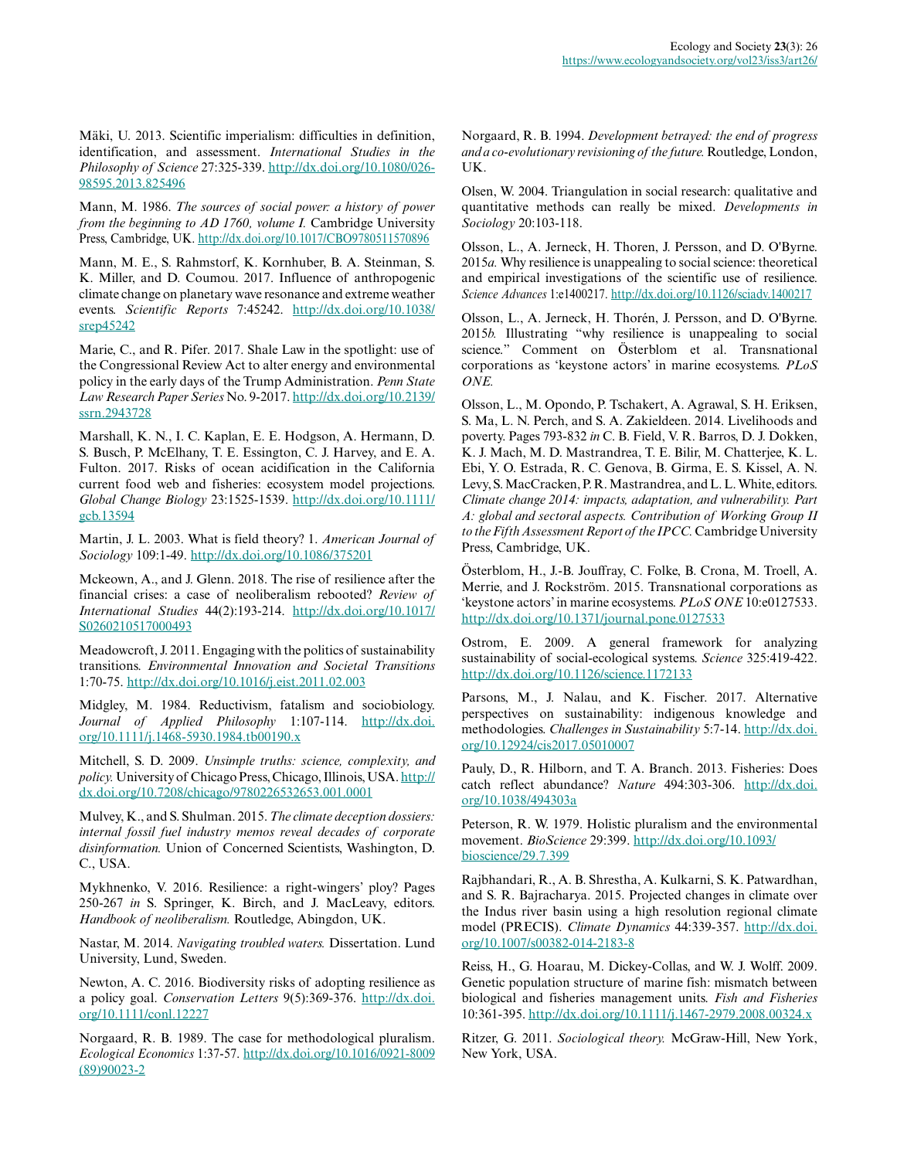Mäki, U. 2013. Scientific imperialism: difficulties in definition, identification, and assessment. *International Studies in the Philosophy of Science* 27:325-339. [http://dx.doi.org/10.1080/026](http://dx.doi.org/10.1080%2F02698595.2013.825496) [98595.2013.825496](http://dx.doi.org/10.1080%2F02698595.2013.825496)

Mann, M. 1986. *The sources of social power: a history of power from the beginning to AD 1760, volume I.* Cambridge University Press, Cambridge, UK. [http://dx.doi.org/10.1017/CBO9780511570896](http://dx.doi.org/10.1017%2FCBO9780511570896) 

Mann, M. E., S. Rahmstorf, K. Kornhuber, B. A. Steinman, S. K. Miller, and D. Coumou. 2017. Influence of anthropogenic climate change on planetary wave resonance and extreme weather events. *Scientific Reports* 7:45242. [http://dx.doi.org/10.1038/](http://dx.doi.org/10.1038%2Fsrep45242) [srep45242](http://dx.doi.org/10.1038%2Fsrep45242)

Marie, C., and R. Pifer. 2017. Shale Law in the spotlight: use of the Congressional Review Act to alter energy and environmental policy in the early days of the Trump Administration. *Penn State Law Research Paper Series* No. 9-2017. [http://dx.doi.org/10.2139/](http://dx.doi.org/10.2139%2Fssrn.2943728) [ssrn.2943728](http://dx.doi.org/10.2139%2Fssrn.2943728)

Marshall, K. N., I. C. Kaplan, E. E. Hodgson, A. Hermann, D. S. Busch, P. McElhany, T. E. Essington, C. J. Harvey, and E. A. Fulton. 2017. Risks of ocean acidification in the California current food web and fisheries: ecosystem model projections. *Global Change Biology* 23:1525-1539. [http://dx.doi.org/10.1111/](http://dx.doi.org/10.1111%2Fgcb.13594) [gcb.13594](http://dx.doi.org/10.1111%2Fgcb.13594) 

Martin, J. L. 2003. What is field theory? 1. *American Journal of Sociology* 109:1-49. [http://dx.doi.org/10.1086/375201](http://dx.doi.org/10.1086%2F375201)

Mckeown, A., and J. Glenn. 2018. The rise of resilience after the financial crises: a case of neoliberalism rebooted? *Review of International Studies* 44(2):193-214. [http://dx.doi.org/10.1017/](http://dx.doi.org/10.1017%2FS0260210517000493) [S0260210517000493](http://dx.doi.org/10.1017%2FS0260210517000493) 

Meadowcroft, J. 2011. Engaging with the politics of sustainability transitions. *Environmental Innovation and Societal Transitions* 1:70-75. [http://dx.doi.org/10.1016/j.eist.2011.02.003](http://dx.doi.org/10.1016%2Fj.eist.2011.02.003)

Midgley, M. 1984. Reductivism, fatalism and sociobiology. *Journal of Applied Philosophy* 1:107-114. [http://dx.doi.](http://dx.doi.org/10.1111%2Fj.1468-5930.1984.tb00190.x) [org/10.1111/j.1468-5930.1984.tb00190.x](http://dx.doi.org/10.1111%2Fj.1468-5930.1984.tb00190.x)

Mitchell, S. D. 2009. *Unsimple truths: science, complexity, and policy.* University of Chicago Press, Chicago, Illinois, USA. [http://](http://dx.doi.org/10.7208%2Fchicago%2F9780226532653.001.0001) [dx.doi.org/10.7208/chicago/9780226532653.001.0001](http://dx.doi.org/10.7208%2Fchicago%2F9780226532653.001.0001)

Mulvey, K., and S. Shulman. 2015. *The climate deception dossiers: internal fossil fuel industry memos reveal decades of corporate disinformation.* Union of Concerned Scientists, Washington, D. C., USA.

Mykhnenko, V. 2016. Resilience: a right-wingers' ploy? Pages 250-267 *in* S. Springer, K. Birch, and J. MacLeavy, editors. *Handbook of neoliberalism.* Routledge, Abingdon, UK.

Nastar, M. 2014. *Navigating troubled waters.* Dissertation. Lund University, Lund, Sweden.

Newton, A. C. 2016. Biodiversity risks of adopting resilience as a policy goal. *Conservation Letters* 9(5):369-376. [http://dx.doi.](http://dx.doi.org/10.1111%2Fconl.12227) [org/10.1111/conl.12227](http://dx.doi.org/10.1111%2Fconl.12227)

Norgaard, R. B. 1989. The case for methodological pluralism. *Ecological Economics* 1:37-57. [http://dx.doi.org/10.1016/0921-8009](http://dx.doi.org/10.1016%2F0921-8009%2889%2990023-2) [\(89\)90023-2](http://dx.doi.org/10.1016%2F0921-8009%2889%2990023-2) 

Norgaard, R. B. 1994. *Development betrayed: the end of progress and a co-evolutionary revisioning of the future.* Routledge, London, UK.

Olsen, W. 2004. Triangulation in social research: qualitative and quantitative methods can really be mixed. *Developments in Sociology* 20:103-118.

Olsson, L., A. Jerneck, H. Thoren, J. Persson, and D. O'Byrne. 2015*a.* Why resilience is unappealing to social science: theoretical and empirical investigations of the scientific use of resilience. *Science Advances* 1:e1400217. [http://dx.doi.org/10.1126/sciadv.1400217](http://dx.doi.org/10.1126%2Fsciadv.1400217)

Olsson, L., A. Jerneck, H. Thorén, J. Persson, and D. O'Byrne. 2015*b.* Illustrating "why resilience is unappealing to social science." Comment on Österblom et al. Transnational corporations as 'keystone actors' in marine ecosystems. *PLoS ONE.*

Olsson, L., M. Opondo, P. Tschakert, A. Agrawal, S. H. Eriksen, S. Ma, L. N. Perch, and S. A. Zakieldeen. 2014. Livelihoods and poverty. Pages 793-832 *in* C. B. Field, V. R. Barros, D. J. Dokken, K. J. Mach, M. D. Mastrandrea, T. E. Bilir, M. Chatterjee, K. L. Ebi, Y. O. Estrada, R. C. Genova, B. Girma, E. S. Kissel, A. N. Levy, S. MacCracken, P. R. Mastrandrea, and L. L. White, editors. *Climate change 2014: impacts, adaptation, and vulnerability. Part A: global and sectoral aspects. Contribution of Working Group II to the Fifth Assessment Report of the IPCC.* Cambridge University Press, Cambridge, UK.

Österblom, H., J.-B. Jouffray, C. Folke, B. Crona, M. Troell, A. Merrie, and J. Rockström. 2015. Transnational corporations as 'keystone actors' in marine ecosystems. *PLoS ONE* 10:e0127533. [http://dx.doi.org/10.1371/journal.pone.0127533](http://dx.doi.org/10.1371%2Fjournal.pone.0127533) 

Ostrom, E. 2009. A general framework for analyzing sustainability of social-ecological systems. *Science* 325:419-422. [http://dx.doi.org/10.1126/science.1172133](http://dx.doi.org/10.1126%2Fscience.1172133)

Parsons, M., J. Nalau, and K. Fischer. 2017. Alternative perspectives on sustainability: indigenous knowledge and methodologies. *Challenges in Sustainability* 5:7-14. [http://dx.doi.](http://dx.doi.org/10.12924%2Fcis2017.05010007) [org/10.12924/cis2017.05010007](http://dx.doi.org/10.12924%2Fcis2017.05010007) 

Pauly, D., R. Hilborn, and T. A. Branch. 2013. Fisheries: Does catch reflect abundance? *Nature* 494:303-306. [http://dx.doi.](http://dx.doi.org/10.1038%2F494303a) [org/10.1038/494303a](http://dx.doi.org/10.1038%2F494303a) 

Peterson, R. W. 1979. Holistic pluralism and the environmental movement. *BioScience* 29:399. [http://dx.doi.org/10.1093/](http://dx.doi.org/10.1093%2Fbioscience%2F29.7.399) [bioscience/29.7.399](http://dx.doi.org/10.1093%2Fbioscience%2F29.7.399)

Rajbhandari, R., A. B. Shrestha, A. Kulkarni, S. K. Patwardhan, and S. R. Bajracharya. 2015. Projected changes in climate over the Indus river basin using a high resolution regional climate model (PRECIS). *Climate Dynamics* 44:339-357. [http://dx.doi.](http://dx.doi.org/10.1007%2Fs00382-014-2183-8) [org/10.1007/s00382-014-2183-8](http://dx.doi.org/10.1007%2Fs00382-014-2183-8)

Reiss, H., G. Hoarau, M. Dickey-Collas, and W. J. Wolff. 2009. Genetic population structure of marine fish: mismatch between biological and fisheries management units. *Fish and Fisheries* 10:361-395. [http://dx.doi.org/10.1111/j.1467-2979.2008.00324.x](http://dx.doi.org/10.1111%2Fj.1467-2979.2008.00324.x)

Ritzer, G. 2011. *Sociological theory.* McGraw-Hill, New York, New York, USA.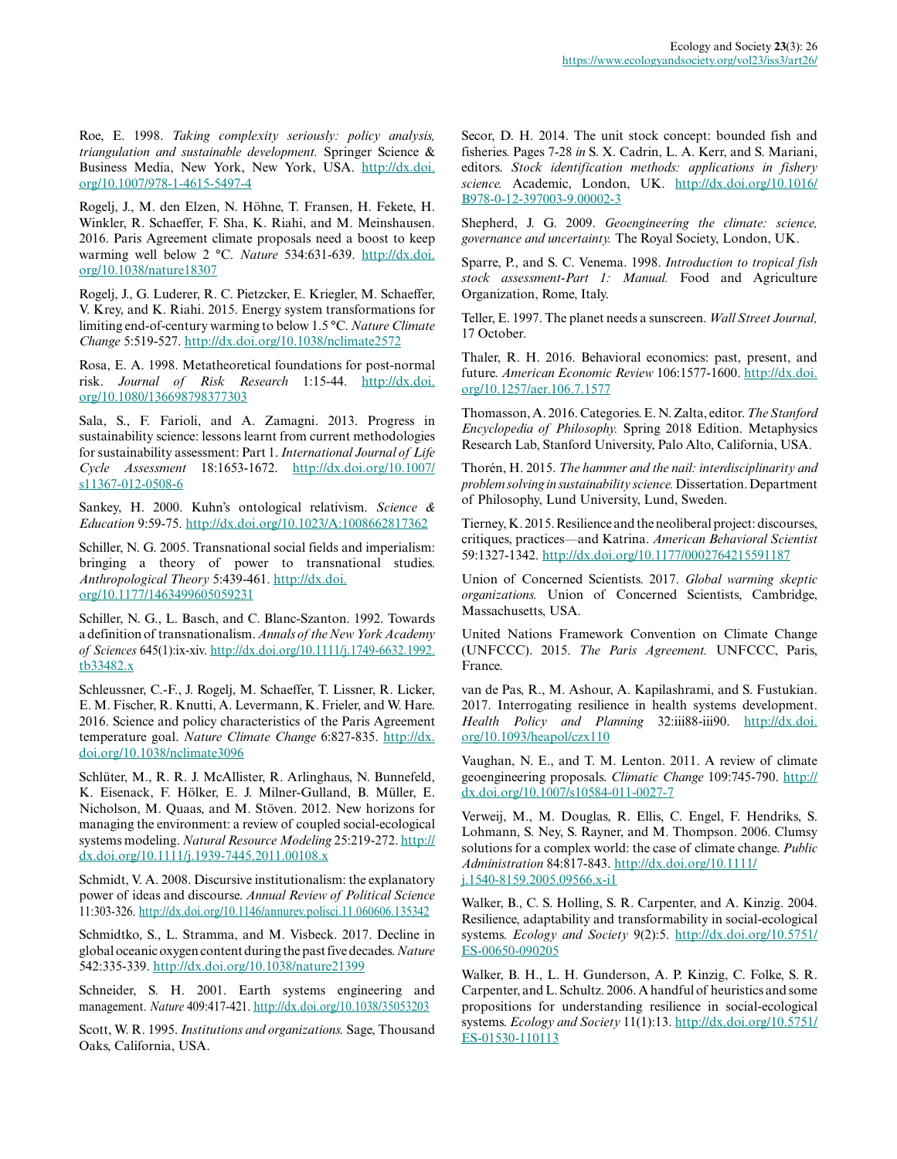Roe, E. 1998. *Taking complexity seriously: policy analysis, triangulation and sustainable development.* Springer Science & Business Media, New York, New York, USA. [http://dx.doi.](http://dx.doi.org/10.1007%2F978-1-4615-5497-4) [org/10.1007/978-1-4615-5497-4](http://dx.doi.org/10.1007%2F978-1-4615-5497-4) 

Rogelj, J., M. den Elzen, N. Höhne, T. Fransen, H. Fekete, H. Winkler, R. Schaeffer, F. Sha, K. Riahi, and M. Meinshausen. 2016. Paris Agreement climate proposals need a boost to keep warming well below 2 °C. *Nature* 534:631-639. [http://dx.doi.](http://dx.doi.org/10.1038%2Fnature18307) [org/10.1038/nature18307](http://dx.doi.org/10.1038%2Fnature18307)

Rogelj, J., G. Luderer, R. C. Pietzcker, E. Kriegler, M. Schaeffer, V. Krey, and K. Riahi. 2015. Energy system transformations for limiting end-of-century warming to below 1.5 °C. *Nature Climate Change* 5:519-527. [http://dx.doi.org/10.1038/nclimate2572](http://dx.doi.org/10.1038%2Fnclimate2572) 

Rosa, E. A. 1998. Metatheoretical foundations for post-normal risk. *Journal of Risk Research* 1:15-44. [http://dx.doi.](http://dx.doi.org/10.1080%2F136698798377303) [org/10.1080/136698798377303](http://dx.doi.org/10.1080%2F136698798377303) 

Sala, S., F. Farioli, and A. Zamagni. 2013. Progress in sustainability science: lessons learnt from current methodologies for sustainability assessment: Part 1. *International Journal of Life Cycle Assessment* 18:1653-1672. [http://dx.doi.org/10.1007/](http://dx.doi.org/10.1007%2Fs11367-012-0508-6) [s11367-012-0508-6](http://dx.doi.org/10.1007%2Fs11367-012-0508-6) 

Sankey, H. 2000. Kuhn's ontological relativism. *Science & Education* 9:59-75. <http://dx.doi.org/10.1023/A:1008662817362>

Schiller, N. G. 2005. Transnational social fields and imperialism: bringing a theory of power to transnational studies. *Anthropological Theory* 5:439-461. [http://dx.doi.](http://dx.doi.org/10.1177%2F1463499605059231) [org/10.1177/1463499605059231](http://dx.doi.org/10.1177%2F1463499605059231)

Schiller, N. G., L. Basch, and C. Blanc‐Szanton. 1992. Towards a definition of transnationalism. *Annals of the New York Academy of Sciences* 645(1):ix-xiv. [http://dx.doi.org/10.1111/j.1749-6632.1992.](http://dx.doi.org/10.1111%2Fj.1749-6632.1992.tb33482.x) [tb33482.x](http://dx.doi.org/10.1111%2Fj.1749-6632.1992.tb33482.x)

Schleussner, C.-F., J. Rogelj, M. Schaeffer, T. Lissner, R. Licker, E. M. Fischer, R. Knutti, A. Levermann, K. Frieler, and W. Hare. 2016. Science and policy characteristics of the Paris Agreement temperature goal. *Nature Climate Change* 6:827-835. [http://dx.](http://dx.doi.org/10.1038%2Fnclimate3096) [doi.org/10.1038/nclimate3096](http://dx.doi.org/10.1038%2Fnclimate3096)

Schlüter, M., R. R. J. McAllister, R. Arlinghaus, N. Bunnefeld, K. Eisenack, F. Hölker, E. J. Milner-Gulland, B. Müller, E. Nicholson, M. Quaas, and M. Stöven. 2012. New horizons for managing the environment: a review of coupled social-ecological systems modeling. *Natural Resource Modeling* 25:219-272. [http://](http://dx.doi.org/10.1111%2Fj.1939-7445.2011.00108.x) [dx.doi.org/10.1111/j.1939-7445.2011.00108.x](http://dx.doi.org/10.1111%2Fj.1939-7445.2011.00108.x)

Schmidt, V. A. 2008. Discursive institutionalism: the explanatory power of ideas and discourse. *Annual Review of Political Science* 11:303-326. [http://dx.doi.org/10.1146/annurev.polisci.11.060606.135342](http://dx.doi.org/10.1146%2Fannurev.polisci.11.060606.135342)

Schmidtko, S., L. Stramma, and M. Visbeck. 2017. Decline in global oceanic oxygen content during the past five decades. *Nature* 542:335-339. [http://dx.doi.org/10.1038/nature21399](http://dx.doi.org/10.1038%2Fnature21399) 

Schneider, S. H. 2001. Earth systems engineering and management. *Nature* 409:417-421. [http://dx.doi.org/10.1038/35053203](http://dx.doi.org/10.1038%2F35053203) 

Scott, W. R. 1995. *Institutions and organizations.* Sage, Thousand Oaks, California, USA.

Secor, D. H. 2014. The unit stock concept: bounded fish and fisheries. Pages 7-28 *in* S. X. Cadrin, L. A. Kerr, and S. Mariani, editors. *Stock identification methods: applications in fishery science.* Academic, London, UK. [http://dx.doi.org/10.1016/](http://dx.doi.org/10.1016%2FB978-0-12-397003-9.00002-3) [B978-0-12-397003-9.00002-3](http://dx.doi.org/10.1016%2FB978-0-12-397003-9.00002-3) 

Shepherd, J. G. 2009. *Geoengineering the climate: science, governance and uncertainty.* The Royal Society, London, UK.

Sparre, P., and S. C. Venema. 1998. *Introduction to tropical fish stock assessment-Part 1: Manual.* Food and Agriculture Organization, Rome, Italy.

Teller, E. 1997. The planet needs a sunscreen. *Wall Street Journal,* 17 October.

Thaler, R. H. 2016. Behavioral economics: past, present, and future. *American Economic Review* 106:1577-1600. [http://dx.doi.](http://dx.doi.org/10.1257%2Faer.106.7.1577) [org/10.1257/aer.106.7.1577](http://dx.doi.org/10.1257%2Faer.106.7.1577) 

Thomasson, A. 2016. Categories. E. N. Zalta, editor. *The Stanford Encyclopedia of Philosophy.* Spring 2018 Edition. Metaphysics Research Lab, Stanford University, Palo Alto, California, USA.

Thorén, H. 2015. *The hammer and the nail: interdisciplinarity and problem solving in sustainability science.* Dissertation. Department of Philosophy, Lund University, Lund, Sweden.

Tierney, K. 2015. Resilience and the neoliberal project: discourses, critiques, practices—and Katrina. *American Behavioral Scientist* 59:1327-1342. [http://dx.doi.org/10.1177/0002764215591187](http://dx.doi.org/10.1177%2F0002764215591187)

Union of Concerned Scientists. 2017. *Global warming skeptic organizations.* Union of Concerned Scientists, Cambridge, Massachusetts, USA.

United Nations Framework Convention on Climate Change (UNFCCC). 2015. *The Paris Agreement.* UNFCCC, Paris, France.

van de Pas, R., M. Ashour, A. Kapilashrami, and S. Fustukian. 2017. Interrogating resilience in health systems development. *Health Policy and Planning* 32:iii88-iii90. [http://dx.doi.](http://dx.doi.org/10.1093%2Fheapol%2Fczx110) [org/10.1093/heapol/czx110](http://dx.doi.org/10.1093%2Fheapol%2Fczx110)

Vaughan, N. E., and T. M. Lenton. 2011. A review of climate geoengineering proposals. *Climatic Change* 109:745-790. [http://](http://dx.doi.org/10.1007%2Fs10584-011-0027-7) [dx.doi.org/10.1007/s10584-011-0027-7](http://dx.doi.org/10.1007%2Fs10584-011-0027-7) 

Verweij, M., M. Douglas, R. Ellis, C. Engel, F. Hendriks, S. Lohmann, S. Ney, S. Rayner, and M. Thompson. 2006. Clumsy solutions for a complex world: the case of climate change. *Public Administration* 84:817-843. [http://dx.doi.org/10.1111/](http://dx.doi.org/10.1111%2Fj.1540-8159.2005.09566.x-i1) [j.1540-8159.2005.09566.x-i1](http://dx.doi.org/10.1111%2Fj.1540-8159.2005.09566.x-i1)

Walker, B., C. S. Holling, S. R. Carpenter, and A. Kinzig. 2004. Resilience, adaptability and transformability in social-ecological systems. *Ecology and Society* 9(2):5. [http://dx.doi.org/10.5751/](http://dx.doi.org/10.5751%2FES-00650-090205) [ES-00650-090205](http://dx.doi.org/10.5751%2FES-00650-090205)

Walker, B. H., L. H. Gunderson, A. P. Kinzig, C. Folke, S. R. Carpenter, and L. Schultz. 2006. A handful of heuristics and some propositions for understanding resilience in social-ecological systems. *Ecology and Society* 11(1):13. [http://dx.doi.org/10.5751/](http://dx.doi.org/10.5751%2FES-01530-110113) [ES-01530-110113](http://dx.doi.org/10.5751%2FES-01530-110113)